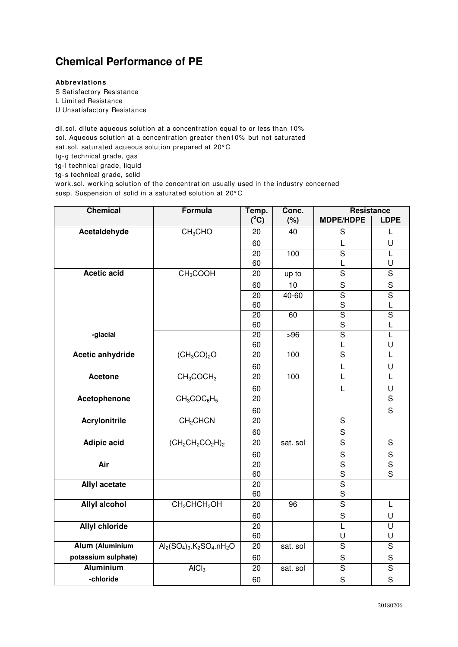## **Chemical Performance of PE**

## **Abbreviations**

S Satisfactory Resistance

L Limited Resistance

U Unsatisfactory Resistance

dil.sol. dilute aqueous solution at a concentration equal to or less than 10% sol. Aqueous solution at a concentration greater then10% but not saturated sat.sol. saturated aqueous solution prepared at 20°C tg-g technical grade, gas tg-l technical grade, liquid tg-s technical grade, solid work.sol. working solution of the concentration usually used in the industry concerned susp. Suspension of solid in a saturated solution at 20°C

**Chemical Formula Temp. Conc. Resistance (<sup>o</sup>C) (%) MDPE/HDPE LDPE Acetaldehyde** CH<sub>3</sub>CHO 20 40 S L 60 L U 20 | 100 | S | L 60 L U **Acetic acid** CH<sub>3</sub>COOH 20 up to S S 60 | 10 | S | S 20 40-60 S S 60 | S | L 20 | 60 | S | S 60 | S | L **-glacial** 20 >96 S L 60 L U **Acetic anhydride** (CH<sub>3</sub>CO)<sub>2</sub>O 20 100 S L 60 L U **Acetone** CH<sub>3</sub>COCH<sub>3</sub> 20 100 L L 60 L U **Acetophenone** CH<sub>3</sub>COC<sub>6</sub>H<sub>5</sub> 20 | S 60 | | | | S **Acrylonitrile** CH<sub>2</sub>CHCN 20 S 60 S **Adipic acid** (CH<sub>2</sub>CH<sub>2</sub>CO<sub>2</sub>H)<sub>2</sub> 20 sat. sol S 60 | S | S **Air** | 20 | 20 | S | S 60 | S | S **Allyl acetate** S 60 S **Allyl alcohol CH<sub>2</sub>CHCH<sub>2</sub>OH 20 96 S L** 60 | | S | U **Allyl chloride** 20 L U 60 U U  $\overline{\text{Alum (Aluminium}}$   $\overline{\text{Al}_2(\text{SO}_4)_3.\text{K}_2\text{SO}_4.\text{nH}_2\text{O}}$  20 sat. sol S S **potassium sulphate)** 60 S S **Aluminium | A**lCl<sub>3</sub> | 20 | sat. sol | S | S **-chloride** 60 S S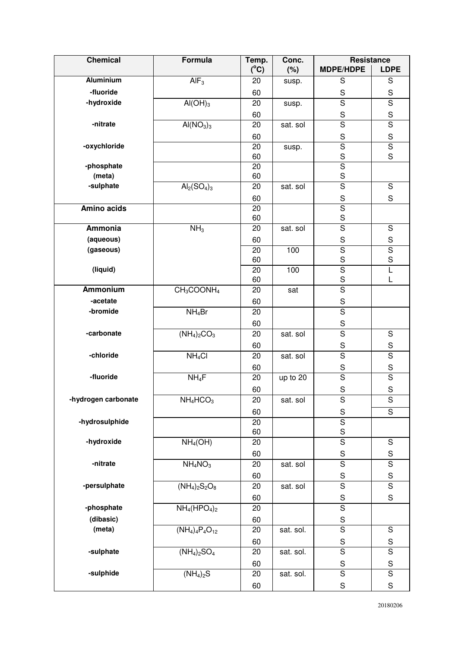| <b>Chemical</b>      | Formula                              | Temp.           | Conc.     | <b>Resistance</b>                      |                         |
|----------------------|--------------------------------------|-----------------|-----------|----------------------------------------|-------------------------|
|                      |                                      | $(^{\circ}C)$   | (%)       | <b>MDPE/HDPE</b>                       | <b>LDPE</b>             |
| <b>Aluminium</b>     | $\overline{AIF_3}$                   | 20              | susp.     | S                                      | $\overline{S}$          |
| -fluoride            |                                      | 60              |           | $\mathsf S$                            | $\mathbf S$             |
| -hydroxide           | $AI(OH)_3$                           | 20              | susp.     | $\overline{\mathsf{s}}$                | $\overline{\mathsf{s}}$ |
|                      |                                      | 60              |           | $\mathbf S$                            | $\mathbf S$             |
| -nitrate             | AI(NO <sub>3</sub> ) <sub>3</sub>    | 20              | sat. sol  | $\overline{\mathbf{s}}$                | $\overline{\mathsf{s}}$ |
|                      |                                      | 60              |           | $\mathbf S$                            | S                       |
| -oxychloride         |                                      | 20              | susp.     | $\overline{\mathsf{s}}$                | $\overline{\mathsf{s}}$ |
|                      |                                      | 60              |           | S                                      | S                       |
| -phosphate<br>(meta) |                                      | 20              |           | $\overline{\mathsf{s}}$<br>$\mathsf S$ |                         |
| -sulphate            | $Al2(SO4)3$                          | 60<br>20        | sat. sol  | $\overline{s}$                         | $\overline{S}$          |
|                      |                                      |                 |           |                                        | $\mathbf S$             |
| Amino acids          |                                      | 60<br>20        |           | $\mathbf S$<br>$\overline{\mathsf{s}}$ |                         |
|                      |                                      | 60              |           | $\mathbf S$                            |                         |
| Ammonia              | NH <sub>3</sub>                      | 20              | sat. sol  | $\overline{S}$                         | $\mathbf S$             |
| (aqueous)            |                                      | 60              |           | $\mathbf S$                            | $\mathbf S$             |
| (gaseous)            |                                      | 20              | 100       | $\overline{\mathsf{s}}$                | $\overline{\mathsf{s}}$ |
|                      |                                      | 60              |           | $\mathbf S$                            | $\mathbf S$             |
| (liquid)             |                                      | 20              | 100       | $\overline{\mathsf{s}}$                | L                       |
|                      |                                      | 60              |           | $\mathsf S$                            | L                       |
| <b>Ammonium</b>      | $CH_3COONH_4$                        | 20              | sat       | $\overline{\mathsf{s}}$                |                         |
| -acetate             |                                      | 60              |           | $\mathbf S$                            |                         |
| -bromide             | $NH_4Br$                             | 20              |           | $\overline{\mathsf{s}}$                |                         |
|                      |                                      | 60              |           | ${\sf S}$                              |                         |
| -carbonate           | $(NH_4)_2CO_3$                       | 20              | sat. sol  | $\overline{\mathsf{s}}$                | $\mathbf S$             |
|                      |                                      | 60              |           | $\mathbf S$                            | $\mathbf S$             |
| -chloride            | NH <sub>4</sub> Cl                   | 20              | sat. sol  | $\overline{\mathsf{s}}$                | $\overline{\mathsf{s}}$ |
|                      |                                      | 60              |           | $\mathbf S$                            | $\mathbf S$             |
| -fluoride            | $NH_4F$                              | 20              | up to 20  | $\overline{\mathsf{s}}$                | $\overline{\mathsf{s}}$ |
|                      |                                      | 60              |           | $\mathbf S$                            | $\mathbf S$             |
| -hydrogen carbonate  | $NH_4HCO_3$                          | $\overline{20}$ | sat. sol  | $\overline{\mathsf{s}}$                | $\overline{\mathsf{s}}$ |
|                      |                                      | 60              |           | ${\sf S}$                              | S                       |
| -hydrosulphide       |                                      | 20              |           | $\overline{\mathsf{s}}$                |                         |
|                      |                                      | 60              |           | $\mathbf S$                            |                         |
| -hydroxide           | NH <sub>4</sub> (OH)                 | 20              |           | $\overline{\mathsf{s}}$                | $\overline{S}$          |
|                      |                                      | 60              |           | $\mathbf S$                            | $\mathbf S$             |
| -nitrate             | NH <sub>4</sub> NO <sub>3</sub>      | 20              | sat. sol  | $\overline{\mathsf{s}}$                | $\overline{\mathsf{s}}$ |
|                      |                                      | 60              |           | ${\sf S}$                              | $\mathbf S$             |
| -persulphate         | $(NH_4)_2S_2O_8$                     | 20              | sat. sol  | $\overline{\mathsf{s}}$                | $\overline{\mathsf{s}}$ |
|                      |                                      | 60              |           | $\mathbf S$                            | $\mathbf S$             |
| -phosphate           | $NH4(HPO4)2$                         | 20              |           | $\overline{s}$                         |                         |
| (dibasic)            |                                      | 60              |           | $\mathbf S$                            |                         |
| (meta)               | $(NH_4)_4P_4O_{12}$                  | 20              | sat. sol. | $\overline{\mathsf{s}}$                | $\overline{S}$          |
|                      |                                      | 60              |           | $\mathbf S$                            | $\mathbf S$             |
| -sulphate            | $(NH_4)_2SO_4$                       | 20              | sat. sol. | $\overline{\mathsf{s}}$                | $\overline{s}$          |
|                      |                                      | 60              |           | ${\mathsf S}$                          | $\mathbf S$             |
| -sulphide            | $\overline{(\text{NH}_4)_2\text{S}}$ | 20              | sat. sol. | $\overline{S}$                         | $\overline{S}$          |
|                      |                                      | 60              |           | ${\mathsf S}$                          | $\mathbf S$             |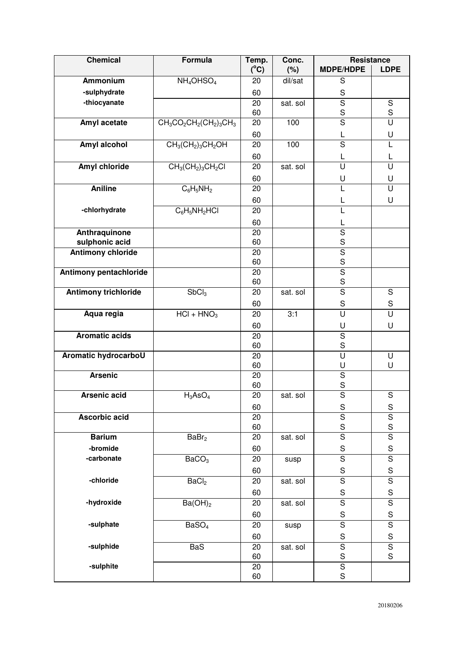| <b>Chemical</b>               | Formula                               | Temp.         | Conc.    | <b>Resistance</b>            |                         |
|-------------------------------|---------------------------------------|---------------|----------|------------------------------|-------------------------|
|                               |                                       | $(^{\circ}C)$ | (%)      | <b>MDPE/HDPE</b>             | <b>LDPE</b>             |
| <b>Ammonium</b>               | $NH_4OHSO_4$                          | 20            | dil/sat  | S                            |                         |
| -sulphydrate                  |                                       | 60            |          | $\mathsf S$                  |                         |
| -thiocyanate                  |                                       | 20            | sat. sol | $\overline{\mathsf{s}}$      | ${\mathsf S}$           |
|                               |                                       | 60            |          | $\mathbf S$                  | $\mathbf S$             |
| Amyl acetate                  | $\overline{CH_3CO_2CH_2(CH_2)_3}CH_3$ | 20            | 100      | $\overline{\mathsf{s}}$      | U                       |
|                               |                                       | 60            |          | L                            | U                       |
| Amyl alcohol                  | $CH3(CH2)3CH2OH$                      | 20            | 100      | $\overline{S}$               | L                       |
|                               |                                       | 60            |          | L                            | L                       |
| Amyl chloride                 | $CH3(CH2)3CH2Cl$                      | 20            | sat. sol | U                            | U                       |
|                               |                                       | 60            |          | U                            | U                       |
| <b>Aniline</b>                | $C_6H_5NH_2$                          | 20            |          | L                            | $\overline{\mathsf{U}}$ |
|                               |                                       | 60            |          | L                            | U                       |
| -chlorhydrate                 | $C_6H_5NH_2HCl$                       | 20            |          | L                            |                         |
|                               |                                       | 60            |          | L                            |                         |
| Anthraquinone                 |                                       | 20            |          | $\overline{\mathsf{s}}$      |                         |
| sulphonic acid                |                                       | 60            |          | S                            |                         |
| <b>Antimony chloride</b>      |                                       | 20            |          | $\overline{\mathsf{S}}$      |                         |
|                               |                                       | 60            |          | S                            |                         |
| <b>Antimony pentachloride</b> |                                       | 20            |          | $\overline{\mathsf{s}}$      |                         |
|                               |                                       | 60            |          | S                            |                         |
| <b>Antimony trichloride</b>   | SbCl <sub>3</sub>                     | 20            | sat. sol | $\overline{\mathsf{s}}$      | $\overline{S}$          |
|                               |                                       | 60            |          | $\mathbf S$                  | ${\mathsf S}$           |
| Aqua regia                    | $HCI + HNO3$                          | 20            | 3:1      | U                            | $\overline{\mathsf{U}}$ |
|                               |                                       | 60            |          | U                            | U                       |
| <b>Aromatic acids</b>         |                                       | 20            |          | $\overline{S}$               |                         |
|                               |                                       | 60            |          | S                            |                         |
| Aromatic hydrocarboU          |                                       | 20<br>60      |          | $\overline{\mathsf{U}}$<br>U | U<br>U                  |
| <b>Arsenic</b>                |                                       | 20            |          | $\overline{\mathsf{s}}$      |                         |
|                               |                                       | 60            |          | S                            |                         |
| <b>Arsenic acid</b>           | $H_3AsO_4$                            | 20            | sat. sol | $\overline{\mathsf{s}}$      | S                       |
|                               |                                       | 60            |          | $\mathsf S$                  | ${\mathsf S}$           |
| Ascorbic acid                 |                                       | 20            |          | $\overline{s}$               | $\overline{\mathsf{S}}$ |
|                               |                                       | 60            |          | $\mathbf S$                  | S                       |
| <b>Barium</b>                 | BaBr <sub>2</sub>                     | 20            | sat. sol | $\overline{\mathsf{s}}$      | $\overline{\mathsf{s}}$ |
| -bromide                      |                                       | 60            |          | $\mathbf S$                  | $\mathbf S$             |
| -carbonate                    | BaCO <sub>3</sub>                     | 20            | susp     | $\overline{\mathsf{s}}$      | $\overline{\mathsf{s}}$ |
|                               |                                       | 60            |          | $\mathsf S$                  | $\mathbf S$             |
| -chloride                     | BaCl <sub>2</sub>                     | 20            | sat. sol | $\overline{\mathsf{s}}$      | $\overline{\mathsf{s}}$ |
|                               |                                       | 60            |          | $\mathbf S$                  | $\mathbf S$             |
| -hydroxide                    | Ba(OH) <sub>2</sub>                   | 20            | sat. sol | $\overline{S}$               | $\overline{S}$          |
|                               |                                       | 60            |          | S                            | S                       |
| -sulphate                     | BaSO <sub>4</sub>                     | 20            | susp     | $\overline{s}$               | $\overline{\mathsf{s}}$ |
|                               |                                       | 60            |          | $\mathbf S$                  | $\mathbf S$             |
| -sulphide                     | <b>BaS</b>                            | 20            | sat. sol | $\overline{\mathsf{s}}$      | $\overline{\mathsf{s}}$ |
|                               |                                       | 60            |          | $\mathbf S$                  | $\mathbf S$             |
| -sulphite                     |                                       | 20            |          | $\overline{\mathsf{s}}$      |                         |
|                               |                                       | 60            |          | S                            |                         |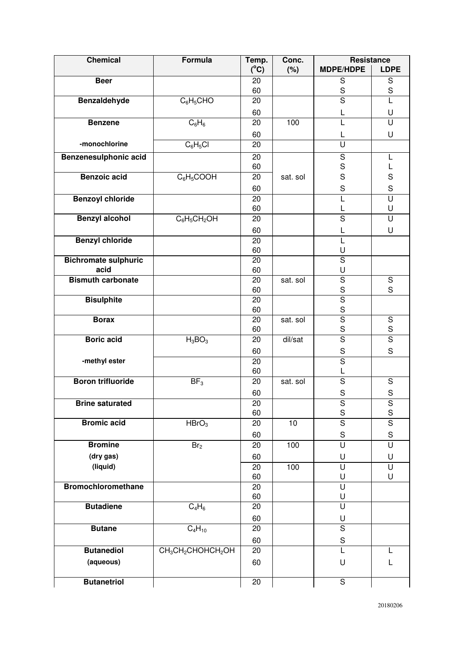| <b>Chemical</b>             | <b>Formula</b>                                         | Temp.           | Conc.    | <b>Resistance</b>             |                              |
|-----------------------------|--------------------------------------------------------|-----------------|----------|-------------------------------|------------------------------|
|                             |                                                        | $(^{\circ}C)$   | (%)      | <b>MDPE/HDPE</b>              | <b>LDPE</b>                  |
| <b>Beer</b>                 |                                                        | 20              |          | ${\mathsf S}$                 | $\mathbf S$                  |
|                             |                                                        | 60              |          | $\mathbf S$<br>$\overline{s}$ | $\mathsf S$                  |
| <b>Benzaldehyde</b>         | $C_6H_5CHO$                                            | 20              |          |                               | L                            |
|                             |                                                        | 60              |          | L                             | U                            |
| <b>Benzene</b>              | $C_6H_6$                                               | 20              | 100      | L                             | U                            |
|                             |                                                        | 60              |          | L                             | U                            |
| -monochlorine               | $C_6H_5Cl$                                             | 20              |          | U                             |                              |
| Benzenesulphonic acid       |                                                        | 20              |          | $\mathbf S$                   | L                            |
|                             |                                                        | 60              |          | $\mathbf S$                   |                              |
| <b>Benzoic acid</b>         | $C_6H_5COOH$                                           | 20              | sat. sol | $\mathsf S$                   | S                            |
|                             |                                                        | 60              |          | $\mathsf S$                   | $\mathbf S$                  |
| <b>Benzoyl chloride</b>     |                                                        | 20              |          | L                             | U                            |
| <b>Benzyl alcohol</b>       | $C_6H_5CH_2OH$                                         | 60<br>20        |          | L<br>$\overline{\mathsf{s}}$  | U<br>$\overline{\mathsf{U}}$ |
|                             |                                                        |                 |          |                               |                              |
| <b>Benzyl chloride</b>      |                                                        | 60<br>20        |          | L<br>L                        | U                            |
|                             |                                                        | 60              |          | U                             |                              |
| <b>Bichromate sulphuric</b> |                                                        | 20              |          | $\overline{\mathsf{s}}$       |                              |
| acid                        |                                                        | 60              |          | U                             |                              |
| <b>Bismuth carbonate</b>    |                                                        | 20              | sat. sol | $\overline{\mathsf{S}}$       | $\overline{S}$               |
|                             |                                                        | 60              |          | $\mathsf S$                   | S                            |
| <b>Bisulphite</b>           |                                                        | 20              |          | $\overline{\mathsf{S}}$       |                              |
|                             |                                                        | 60              |          | $\mathbf S$                   |                              |
| <b>Borax</b>                |                                                        | 20              | sat. sol | $\overline{s}$                | $\overline{S}$               |
|                             |                                                        | 60              |          | $\mathbf S$                   | $\mathbf S$                  |
| <b>Boric</b> acid           | $H_3BO_3$                                              | 20              | dil/sat  | $\overline{S}$                | $\overline{S}$               |
|                             |                                                        | 60              |          | $\mathbf S$                   | S                            |
| -methyl ester               |                                                        | 20              |          | $\overline{\mathsf{s}}$       |                              |
| <b>Boron trifluoride</b>    | BF <sub>3</sub>                                        | 60<br>20        | sat. sol | L<br>$\overline{S}$           | $\mathbf S$                  |
|                             |                                                        |                 |          |                               |                              |
| <b>Brine saturated</b>      |                                                        | 60              |          | $\mathsf S$                   | S                            |
|                             |                                                        | 20<br>60        |          | ${\sf S}$<br>S                | S<br>S                       |
| <b>Bromic acid</b>          | HBrO <sub>3</sub>                                      | 20              | 10       | $\overline{\mathsf{s}}$       | $\overline{\mathsf{s}}$      |
|                             |                                                        | 60              |          | $\mathsf S$                   | $\mathbf S$                  |
| <b>Bromine</b>              | Br <sub>2</sub>                                        | 20              | 100      | U                             | U                            |
| (dry gas)                   |                                                        | 60              |          | U                             | U                            |
| (liquid)                    |                                                        | 20              | 100      | $\overline{U}$                | $\cup$                       |
|                             |                                                        | 60              |          | U                             | U                            |
| <b>Bromochloromethane</b>   |                                                        | 20              |          | U                             |                              |
|                             |                                                        | 60              |          | U                             |                              |
| <b>Butadiene</b>            | $C_4H_6$                                               | 20              |          | U                             |                              |
|                             |                                                        | 60              |          | U                             |                              |
| <b>Butane</b>               | $C_4H_{10}$                                            | 20              |          | $\overline{\mathsf{s}}$       |                              |
|                             |                                                        | 60              |          | ${\mathsf S}$                 |                              |
| <b>Butanediol</b>           | CH <sub>3</sub> CH <sub>2</sub> CHOHCH <sub>2</sub> OH | 20              |          | L                             |                              |
| (aqueous)                   |                                                        | 60              |          | U                             | L                            |
|                             |                                                        |                 |          |                               |                              |
| <b>Butanetriol</b>          |                                                        | $\overline{20}$ |          | $\overline{S}$                |                              |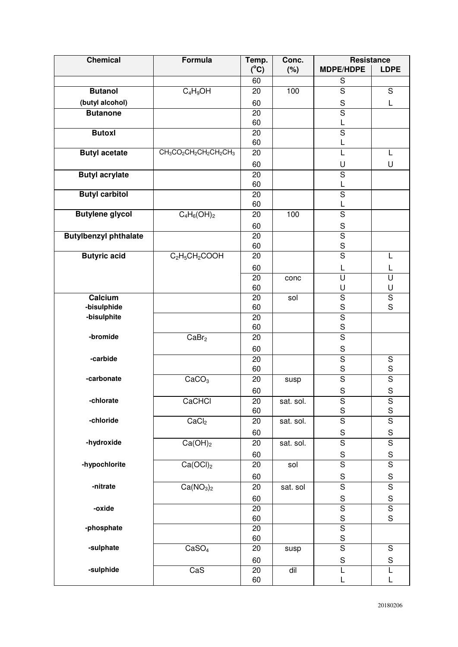| <b>Chemical</b>              | Formula                                                                                         | Temp.         | Conc.          | Resistance                             |                              |
|------------------------------|-------------------------------------------------------------------------------------------------|---------------|----------------|----------------------------------------|------------------------------|
|                              |                                                                                                 | $(^{\circ}C)$ | (%)            | <b>MDPE/HDPE</b>                       | <b>LDPE</b>                  |
|                              |                                                                                                 | 60            |                | S                                      |                              |
| <b>Butanol</b>               | $C_4H_9OH$                                                                                      | 20            | 100            | $\overline{\mathsf{s}}$                | $\overline{S}$               |
| (butyl alcohol)              |                                                                                                 | 60            |                | $\mathbf S$                            | L                            |
| <b>Butanone</b>              |                                                                                                 | 20            |                | $\overline{\mathsf{s}}$                |                              |
|                              |                                                                                                 | 60            |                | L                                      |                              |
| <b>Butoxl</b>                |                                                                                                 | 20            |                | $\overline{S}$                         |                              |
|                              |                                                                                                 | 60            |                | L                                      |                              |
| <b>Butyl acetate</b>         | CH <sub>3</sub> CO <sub>2</sub> CH <sub>2</sub> CH <sub>2</sub> CH <sub>2</sub> CH <sub>3</sub> | 20            |                | L                                      | L                            |
|                              |                                                                                                 | 60            |                | U                                      | U                            |
| <b>Butyl acrylate</b>        |                                                                                                 | 20            |                | $\overline{\mathsf{s}}$                |                              |
|                              |                                                                                                 | 60            |                | L                                      |                              |
| <b>Butyl carbitol</b>        |                                                                                                 | 20            |                | $\overline{\mathsf{s}}$                |                              |
|                              |                                                                                                 | 60            |                | L                                      |                              |
| <b>Butylene glycol</b>       | $C_4H_6(OH)_2$                                                                                  | 20            | 100            | $\overline{\mathsf{s}}$                |                              |
|                              |                                                                                                 | 60            |                | $\mathbf S$                            |                              |
| <b>Butylbenzyl phthalate</b> |                                                                                                 | 20            |                | $\overline{\mathsf{s}}$                |                              |
| <b>Butyric acid</b>          | $C_2H_5CH_2COOH$                                                                                | 60<br>20      |                | $\mathbf S$<br>$\overline{\mathsf{s}}$ |                              |
|                              |                                                                                                 |               |                |                                        | L                            |
|                              |                                                                                                 | 60            |                | L<br>$\overline{\mathsf{U}}$           | L                            |
|                              |                                                                                                 | 20<br>60      | conc           | U                                      | $\overline{\mathsf{U}}$<br>U |
| Calcium                      |                                                                                                 | 20            | sol            | $\overline{S}$                         | $\overline{S}$               |
| -bisulphide                  |                                                                                                 | 60            |                | $\mathsf S$                            | S                            |
| -bisulphite                  |                                                                                                 | 20            |                | $\overline{\mathsf{S}}$                |                              |
|                              |                                                                                                 | 60            |                | S                                      |                              |
| -bromide                     | CaBr <sub>2</sub>                                                                               | 20            |                | $\overline{\mathsf{s}}$                |                              |
|                              |                                                                                                 | 60            |                | $\mathbf S$                            |                              |
| -carbide                     |                                                                                                 | 20            |                | $\overline{\mathsf{s}}$                | ${\mathsf S}$                |
|                              |                                                                                                 | 60            |                | $\mathbf S$                            | $\mathbf S$                  |
| -carbonate                   | CaCO <sub>3</sub>                                                                               | 20            | susp           | $\overline{s}$                         | $\overline{\mathsf{s}}$      |
|                              |                                                                                                 | 60            |                | $\mathbf S$                            | $\mathbf S$                  |
| -chlorate                    | CaCHCI                                                                                          | 20            | sat. sol.      | S                                      | S                            |
|                              |                                                                                                 | 60            |                | $\mathbf S$                            | S                            |
| -chloride                    | CaCl <sub>2</sub>                                                                               | 20            | sat. sol.      | $\overline{\mathsf{s}}$                | $\overline{\mathsf{s}}$      |
|                              |                                                                                                 | 60            |                | S                                      | S                            |
| -hydroxide                   | Ca(OH) <sub>2</sub>                                                                             | 20            | sat. sol.      | $\overline{S}$                         | $\overline{S}$               |
|                              |                                                                                                 | 60            |                | S                                      | S                            |
| -hypochlorite                | Ca(OCl) <sub>2</sub>                                                                            | 20            | sol            | $\overline{\mathsf{s}}$                | $\overline{\mathsf{s}}$      |
|                              |                                                                                                 | 60            |                | $\mathbf S$                            | $\mathbf S$                  |
| -nitrate                     | Ca(NO <sub>3</sub> ) <sub>2</sub>                                                               | 20            | sat. sol       | $\overline{s}$                         | $\overline{\mathsf{s}}$      |
|                              |                                                                                                 | 60            |                | $\mathbf S$                            | $\mathbf S$                  |
| -oxide                       |                                                                                                 | 20            |                | $\overline{\mathsf{S}}$                | $\overline{\mathsf{S}}$      |
|                              |                                                                                                 | 60            |                | $\mathbf S$                            | S                            |
| -phosphate                   |                                                                                                 | 20            |                | $\overline{\mathsf{s}}$                |                              |
|                              |                                                                                                 | 60            |                | $\mathbf S$                            |                              |
| -sulphate                    | CaSO <sub>4</sub>                                                                               | 20            | susp           | $\overline{\mathsf{s}}$                | $\mathsf S$                  |
|                              |                                                                                                 | 60            |                | $\mathbf S$                            | $\mathbf S$                  |
| -sulphide                    | CaS                                                                                             | 20            | $\overline{d}$ | L                                      | L                            |
|                              |                                                                                                 | 60            |                | L                                      | L                            |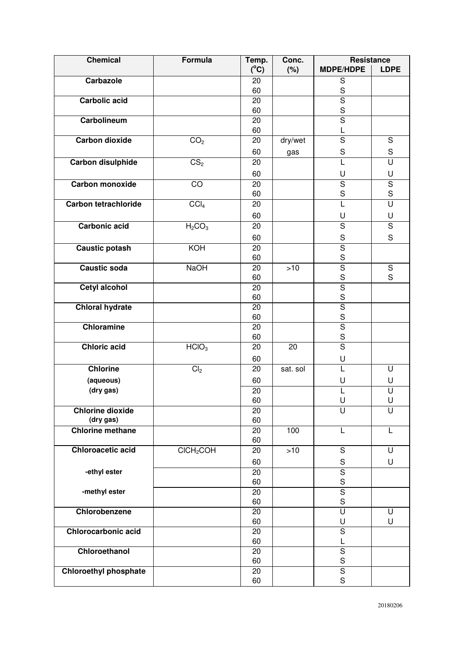| <b>Chemical</b>              | Formula                        | Temp.         | Conc.    | <b>Resistance</b>       |                         |
|------------------------------|--------------------------------|---------------|----------|-------------------------|-------------------------|
|                              |                                | $(^{\circ}C)$ | (%)      | <b>MDPE/HDPE</b>        | <b>LDPE</b>             |
| Carbazole                    |                                | 20            |          | S                       |                         |
|                              |                                | 60            |          | S                       |                         |
| <b>Carbolic acid</b>         |                                | 20            |          | $\overline{s}$          |                         |
|                              |                                | 60            |          | S                       |                         |
| Carbolineum                  |                                | 20            |          | $\overline{S}$          |                         |
| <b>Carbon dioxide</b>        |                                | 60            |          | L                       |                         |
|                              | CO <sub>2</sub>                | 20            | dry/wet  | $\overline{s}$          | $\mathbf S$             |
|                              |                                | 60            | gas      | S                       | $\mathbf S$             |
| Carbon disulphide            | CS <sub>2</sub>                | 20            |          | L                       | U                       |
|                              |                                | 60            |          | U                       | U                       |
| <b>Carbon monoxide</b>       | $\overline{CO}$                | 20            |          | $\overline{\mathsf{s}}$ | $\overline{\mathsf{s}}$ |
|                              |                                | 60            |          | S                       | S                       |
| <b>Carbon tetrachloride</b>  | CCI <sub>4</sub>               | 20            |          | L                       | U                       |
|                              |                                | 60            |          | U                       | U                       |
| <b>Carbonic acid</b>         | H <sub>2</sub> CO <sub>3</sub> | 20            |          | $\overline{\mathsf{s}}$ | $\overline{\mathsf{s}}$ |
|                              |                                | 60            |          | $\mathbf S$             | S                       |
| <b>Caustic potash</b>        | KOH                            | 20            |          | $\overline{\mathsf{s}}$ |                         |
|                              |                                | 60            |          | S                       |                         |
| <b>Caustic soda</b>          | NaOH                           | 20            | $>10$    | $\overline{\mathsf{s}}$ | ${\mathsf S}$           |
|                              |                                | 60            |          | S                       | S                       |
| <b>Cetyl alcohol</b>         |                                | 20            |          | $\overline{\mathsf{s}}$ |                         |
|                              |                                | 60            |          | $\mathbf S$             |                         |
| <b>Chloral hydrate</b>       |                                | 20            |          | $\overline{\mathsf{s}}$ |                         |
|                              |                                | 60            |          | S                       |                         |
| <b>Chloramine</b>            |                                | 20            |          | $\overline{\mathsf{s}}$ |                         |
|                              |                                | 60            |          | S                       |                         |
| <b>Chloric acid</b>          | HCIO <sub>3</sub>              | 20            | 20       | $\overline{\mathsf{s}}$ |                         |
|                              |                                | 60            |          | U                       |                         |
| <b>Chlorine</b>              | Cl <sub>2</sub>                | 20            | sat. sol | L                       | U                       |
| (aqueous)                    |                                | 60            |          | U                       | U                       |
| (dry gas)                    |                                | 20            |          | L                       | U                       |
|                              |                                | 60            |          | U                       | U                       |
| <b>Chlorine dioxide</b>      |                                | 20            |          | $\overline{\mathsf{U}}$ | $\overline{\mathsf{U}}$ |
| (dry gas)                    |                                | 60            |          |                         |                         |
| <b>Chlorine methane</b>      |                                | 20            | 100      | L                       | L                       |
|                              |                                | 60            |          |                         |                         |
| <b>Chloroacetic acid</b>     | CICH <sub>2</sub> COH          | 20            | >10      | $\overline{S}$          | U                       |
|                              |                                | 60            |          | ${\mathsf S}$           | U                       |
| -ethyl ester                 |                                | 20            |          | $\overline{\mathsf{s}}$ |                         |
|                              |                                | 60            |          | $\mathbf S$             |                         |
| -methyl ester                |                                | 20            |          | $\overline{\mathsf{s}}$ |                         |
|                              |                                | 60            |          | $\mathbf S$             |                         |
| Chlorobenzene                |                                | 20            |          | $\overline{\mathsf{U}}$ | U                       |
|                              |                                | 60            |          | U                       | U                       |
| <b>Chlorocarbonic acid</b>   |                                | 20            |          | $\overline{\mathsf{s}}$ |                         |
|                              |                                | 60            |          | L                       |                         |
| Chloroethanol                |                                | 20            |          | $\overline{S}$          |                         |
|                              |                                | 60            |          | $\mathbf S$             |                         |
| <b>Chloroethyl phosphate</b> |                                | 20            |          | $\overline{\mathsf{s}}$ |                         |
|                              |                                | 60            |          | $\mathbf S$             |                         |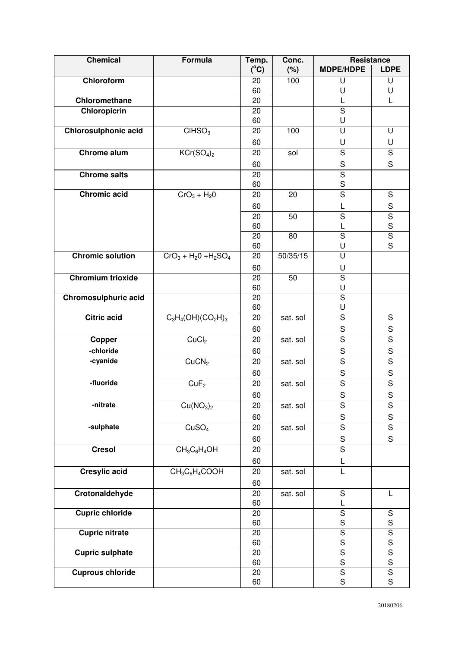| <b>Chemical</b>             | Formula                            | Temp.         | Conc.    | <b>Resistance</b>                        |                                          |
|-----------------------------|------------------------------------|---------------|----------|------------------------------------------|------------------------------------------|
|                             |                                    | $(^{\circ}C)$ | (%)      | <b>MDPE/HDPE</b>                         | <b>LDPE</b>                              |
| Chloroform                  |                                    | 20            | 100      | U                                        | U                                        |
| Chloromethane               |                                    | 60            |          | U                                        | U                                        |
|                             |                                    | 20            |          | L<br>$\overline{\mathsf{s}}$             |                                          |
| Chloropicrin                |                                    | 20<br>60      |          | U                                        |                                          |
| <b>Chlorosulphonic acid</b> | CHSO <sub>3</sub>                  | 20            | 100      | $\overline{\mathsf{U}}$                  | U                                        |
|                             |                                    | 60            |          | U                                        | U                                        |
| <b>Chrome alum</b>          | KCr(SO <sub>4</sub> ) <sub>2</sub> | 20            | sol      | $\overline{S}$                           | $\mathbf S$                              |
|                             |                                    | 60            |          | $\mathbf S$                              | S                                        |
| <b>Chrome salts</b>         |                                    | 20            |          | $\overline{\mathsf{s}}$                  |                                          |
|                             |                                    | 60            |          | $\mathbf S$                              |                                          |
| <b>Chromic acid</b>         | $CrO3 + H20$                       | 20            | 20       | $\overline{\mathsf{s}}$                  | $\overline{S}$                           |
|                             |                                    | 60            |          | L                                        | $\mathbf S$                              |
|                             |                                    | 20            | 50       | $\overline{S}$                           | $\overline{\mathsf{S}}$                  |
|                             |                                    | 60            |          | L                                        | S                                        |
|                             |                                    | 20            | 80       | $\overline{\mathsf{s}}$                  | $\overline{\mathsf{s}}$                  |
|                             |                                    | 60            |          | U                                        | S                                        |
| <b>Chromic solution</b>     | $CrO3 + H2O + H2SO4$               | 20            | 50/35/15 | $\overline{\mathsf{U}}$                  |                                          |
|                             |                                    | 60            |          | U                                        |                                          |
| <b>Chromium trioxide</b>    |                                    | 20            | 50       | $\overline{\mathsf{s}}$                  |                                          |
|                             |                                    | 60            |          | U                                        |                                          |
| Chromosulphuric acid        |                                    | 20            |          | $\overline{\mathsf{s}}$                  |                                          |
| <b>Citric acid</b>          |                                    | 60            |          | U<br>$\overline{S}$                      |                                          |
|                             | $C_3H_4(OH)(CO_2H)_3$              | 20            | sat. sol |                                          | S                                        |
|                             |                                    | 60            |          | $\mathsf S$<br>$\overline{\mathsf{s}}$   | $\mathbf S$<br>$\overline{\mathsf{s}}$   |
| Copper                      | CuCl <sub>2</sub>                  | 20            | sat. sol |                                          |                                          |
| -chloride                   |                                    | 60            |          | ${\mathsf S}$<br>$\overline{\mathsf{s}}$ | ${\mathsf S}$<br>$\overline{\mathsf{s}}$ |
| -cyanide                    | CuCN <sub>2</sub>                  | 20            | sat. sol |                                          |                                          |
| -fluoride                   |                                    | 60            |          | $\mathbf S$<br>$\overline{\mathsf{s}}$   | S<br>$\overline{\mathsf{s}}$             |
|                             | Cur <sub>2</sub>                   | 20            | sat. sol |                                          |                                          |
| -nitrate                    |                                    | 60            |          | S                                        | $\mathsf S$                              |
|                             | Cu(NO <sub>3</sub> ) <sub>2</sub>  | 20            | sat. sol | ${\mathsf S}$                            | S                                        |
|                             |                                    | 60            |          | $\mathbf S$<br>$\overline{\mathsf{s}}$   | $\mathbf S$<br>$\overline{\mathsf{s}}$   |
| -sulphate                   | CuSO <sub>4</sub>                  | 20            | sat. sol |                                          |                                          |
|                             |                                    | 60            |          | ${\mathsf S}$<br>$\overline{\mathsf{s}}$ | $\mathsf S$                              |
| <b>Cresol</b>               | $CH_3C_6H_4OH$                     | 20            |          |                                          |                                          |
|                             |                                    | 60            |          | L                                        |                                          |
| <b>Cresylic acid</b>        | $CH_3C_6H_4COOH$                   | 20            | sat. sol | L                                        |                                          |
|                             |                                    | 60            |          |                                          |                                          |
| Crotonaldehyde              |                                    | 20<br>60      | sat. sol | $\overline{S}$<br>L                      | L                                        |
| <b>Cupric chloride</b>      |                                    | 20            |          | $\overline{\mathsf{S}}$                  | ${\mathsf S}$                            |
|                             |                                    | 60            |          | $\mathbf S$                              | $\mathsf S$                              |
| <b>Cupric nitrate</b>       |                                    | 20            |          | $\overline{\mathsf{s}}$                  | $\overline{\mathsf{s}}$                  |
|                             |                                    | 60            |          | $\mathbf S$                              | $\mathsf S$                              |
| <b>Cupric sulphate</b>      |                                    | 20            |          | $\overline{\mathsf{s}}$                  | $\overline{\mathsf{s}}$                  |
|                             |                                    | 60            |          | ${\mathsf S}$                            | $\mathsf S$                              |
| <b>Cuprous chloride</b>     |                                    | 20            |          | $\overline{\mathsf{s}}$                  | $\overline{\mathsf{s}}$                  |
|                             |                                    | 60            |          | ${\mathsf S}$                            | S                                        |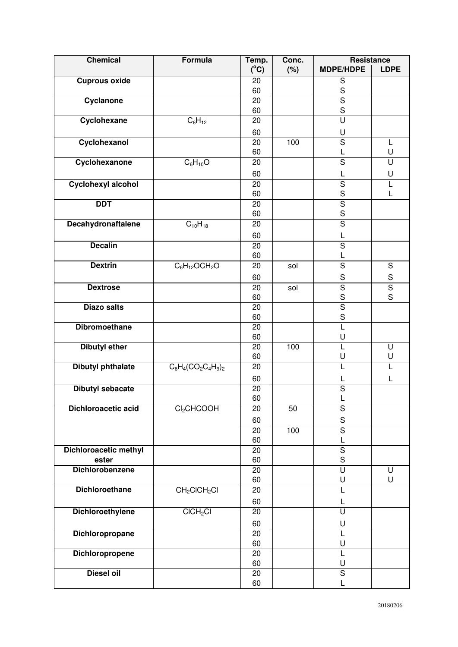| <b>Chemical</b>                 | <b>Formula</b>                       | Temp.         | Conc. | Resistance                             |                         |
|---------------------------------|--------------------------------------|---------------|-------|----------------------------------------|-------------------------|
|                                 |                                      | $(^{\circ}C)$ | (%)   | <b>MDPE/HDPE</b>                       | <b>LDPE</b>             |
| <b>Cuprous oxide</b>            |                                      | 20            |       | $\mathbf S$                            |                         |
|                                 |                                      | 60            |       | $rac{S}{S}$                            |                         |
| Cyclanone                       |                                      | 20            |       |                                        |                         |
|                                 |                                      | 60            |       | S<br>$\overline{U}$                    |                         |
| Cyclohexane                     | $C_6H_{12}$                          | 20            |       |                                        |                         |
|                                 |                                      | 60            |       | U                                      |                         |
| Cyclohexanol                    |                                      | 20            | 100   | $\overline{\mathsf{s}}$                | L                       |
|                                 |                                      | 60            |       | L                                      | U                       |
| Cyclohexanone                   | $C_6H_{10}O$                         | 20            |       | $\overline{\mathsf{s}}$                | U                       |
|                                 |                                      | 60            |       | L                                      | U                       |
| <b>Cyclohexyl alcohol</b>       |                                      | 20            |       | $\overline{\mathsf{S}}$                |                         |
|                                 |                                      | 60            |       | $\mathbf S$                            |                         |
| <b>DDT</b>                      |                                      | 20            |       | $\overline{\mathsf{s}}$                |                         |
|                                 |                                      | 60            |       | $\mathbf S$                            |                         |
| <b>Decahydronaftalene</b>       | $C_{10}H_{18}$                       | 20            |       | $\overline{\mathsf{s}}$                |                         |
|                                 |                                      | 60            |       | L                                      |                         |
| <b>Decalin</b>                  |                                      | 20            |       | $\overline{\mathsf{s}}$                |                         |
|                                 |                                      | 60            |       | L                                      |                         |
| <b>Dextrin</b>                  | $\overline{C_6H_{12}OCH_2}O$         | 20            | sol   | $\overline{S}$                         | $\mathbf S$             |
|                                 |                                      | 60            |       | $\mathsf S$                            | ${\sf S}$               |
| <b>Dextrose</b>                 |                                      | 20            | sol   | $\overline{\mathsf{s}}$                | $\overline{\mathsf{s}}$ |
|                                 |                                      | 60            |       | $\mathsf S$                            | S                       |
| <b>Diazo salts</b>              |                                      | 20            |       | $\overline{\mathsf{s}}$                |                         |
|                                 |                                      | 60            |       | $\mathbf S$                            |                         |
| <b>Dibromoethane</b>            |                                      | 20            |       | $\overline{L}$                         |                         |
|                                 |                                      | 60            |       | U                                      |                         |
| <b>Dibutyl ether</b>            |                                      | 20            | 100   | L                                      | U                       |
|                                 |                                      | 60            |       | U                                      | U                       |
| <b>Dibutyl phthalate</b>        | $C_6H_4(CO_2C_4H_9)_2$               | 20            |       | L                                      |                         |
|                                 |                                      | 60            |       | L                                      | L                       |
| <b>Dibutyl sebacate</b>         |                                      | 20            |       | $\overline{\mathsf{s}}$                |                         |
|                                 |                                      | 60            |       |                                        |                         |
| Dichloroacetic acid             | Cl <sub>2</sub> CHCOOH               | 20            | 50    | $\mathbf S$                            |                         |
|                                 |                                      | 60            |       | ${\sf S}$                              |                         |
|                                 |                                      | 20            | 100   | $\overline{\mathsf{s}}$                |                         |
|                                 |                                      | 60            |       | L                                      |                         |
| <b>Dichloroacetic methyl</b>    |                                      | 20            |       | $\overline{\mathsf{S}}$<br>$\mathsf S$ |                         |
| ester<br><b>Dichlorobenzene</b> |                                      | 60<br>20      |       | $\overline{\mathsf{U}}$                | U                       |
|                                 |                                      | 60            |       | U                                      | U                       |
| <b>Dichloroethane</b>           | CH <sub>2</sub> ClCH <sub>2</sub> Cl | 20            |       | L                                      |                         |
|                                 |                                      |               |       |                                        |                         |
|                                 |                                      | 60            |       | L<br>$\overline{\mathsf{U}}$           |                         |
| <b>Dichloroethylene</b>         | CICH <sub>2</sub> Cl                 | 20            |       |                                        |                         |
|                                 |                                      | 60            |       | U                                      |                         |
| <b>Dichloropropane</b>          |                                      | 20            |       | L                                      |                         |
|                                 |                                      | 60            |       | U                                      |                         |
| <b>Dichloropropene</b>          |                                      | 20<br>60      |       | L<br>U                                 |                         |
| <b>Diesel oil</b>               |                                      | 20            |       | $\overline{S}$                         |                         |
|                                 |                                      | 60            |       | L                                      |                         |
|                                 |                                      |               |       |                                        |                         |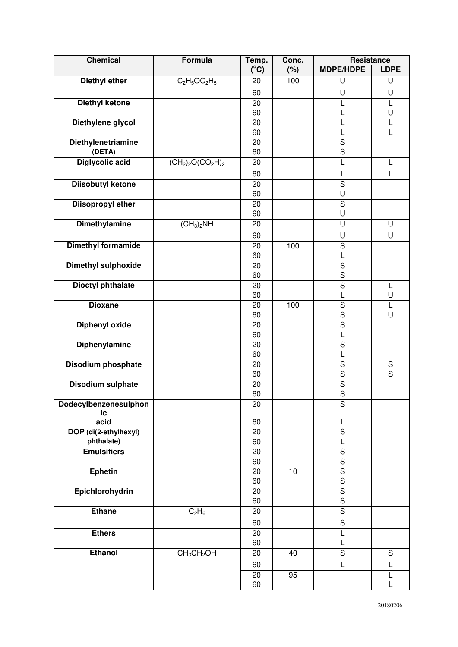| <b>Chemical</b>                     | Formula                  | Temp.           | Conc. | Resistance                   |             |
|-------------------------------------|--------------------------|-----------------|-------|------------------------------|-------------|
|                                     |                          | $(^{\circ}C)$   | (%)   | <b>MDPE/HDPE</b>             | <b>LDPE</b> |
| <b>Diethyl ether</b>                | $C_2H_5OC_2H_5$          | 20              | 100   | U                            | U           |
|                                     |                          | 60              |       | U                            | U           |
| <b>Diethyl ketone</b>               |                          | 20              |       | L                            | L           |
|                                     |                          | 60              |       | L                            | U           |
| Diethylene glycol                   |                          | 20<br>60        |       | L                            | L           |
| <b>Diethylenetriamine</b>           |                          | 20              |       | L<br>$\overline{\mathsf{s}}$ |             |
| (DETA)                              |                          | 60              |       | S                            |             |
| <b>Diglycolic acid</b>              | $(CH2)2O(CO2H)2$         | 20              |       | L                            | L           |
|                                     |                          | 60              |       | L                            | L           |
| <b>Diisobutyl ketone</b>            |                          | $\overline{20}$ |       | $\overline{\mathsf{s}}$      |             |
|                                     |                          | 60              |       | U                            |             |
| <b>Diisopropyl ether</b>            |                          | 20              |       | $\overline{\mathsf{s}}$      |             |
|                                     |                          | 60              |       | U                            |             |
| <b>Dimethylamine</b>                | $(\overline{CH_3})_2$ NH | 20              |       | U                            | U           |
|                                     |                          | 60              |       | U                            | U           |
| <b>Dimethyl formamide</b>           |                          | 20              | 100   | $\overline{S}$               |             |
|                                     |                          | 60              |       | L                            |             |
| <b>Dimethyl sulphoxide</b>          |                          | 20              |       | $\overline{\mathsf{S}}$      |             |
|                                     |                          | 60              |       | $\mathsf S$                  |             |
| <b>Dioctyl phthalate</b>            |                          | 20              |       | $\overline{\mathsf{s}}$      | L           |
|                                     |                          | 60              |       | L                            | U           |
| <b>Dioxane</b>                      |                          | 20              | 100   | $\mathbf S$                  | L           |
|                                     |                          | 60              |       | $\mathsf S$                  | U           |
| <b>Diphenyl oxide</b>               |                          | 20<br>60        |       | $\overline{\mathsf{S}}$<br>L |             |
| <b>Diphenylamine</b>                |                          | 20              |       | $\overline{\mathsf{s}}$      |             |
|                                     |                          | 60              |       | L                            |             |
| Disodium phosphate                  |                          | 20              |       | $\overline{S}$               | ${\sf S}$   |
|                                     |                          | 60              |       | $\mathsf S$                  | $\mathsf S$ |
| <b>Disodium sulphate</b>            |                          | 20              |       | $\overline{\mathsf{S}}$      |             |
|                                     |                          | 60              |       | $\mathbf S$                  |             |
| Dodecylbenzenesulphon               |                          | 20              |       | ${\mathsf S}$                |             |
| ic                                  |                          |                 |       |                              |             |
| acid                                |                          | 60<br>20        |       | L<br>S                       |             |
| DOP (di(2-ethylhexyl)<br>phthalate) |                          | 60              |       | L                            |             |
| <b>Emulsifiers</b>                  |                          | 20              |       | $\overline{S}$               |             |
|                                     |                          | 60              |       | $\mathsf{s}$                 |             |
| <b>Ephetin</b>                      |                          | 20              | 10    | $\overline{\mathsf{s}}$      |             |
|                                     |                          | 60              |       | $\mathsf S$                  |             |
| Epichlorohydrin                     |                          | 20              |       | $\overline{\mathsf{s}}$      |             |
|                                     |                          | 60              |       | $\mathbf S$                  |             |
| <b>Ethane</b>                       | $C_2H_6$                 | 20              |       | $\overline{\mathsf{s}}$      |             |
|                                     |                          | 60              |       | $\mathbf S$                  |             |
| <b>Ethers</b>                       |                          | 20              |       | L                            |             |
|                                     |                          | 60              |       | L                            |             |
| <b>Ethanol</b>                      | $CH_3CH_2OH$             | 20              | 40    | $\overline{S}$               | $\mathbf S$ |
|                                     |                          | 60              |       | L                            | L           |
|                                     |                          | 20              | 95    |                              |             |
|                                     |                          | 60              |       |                              |             |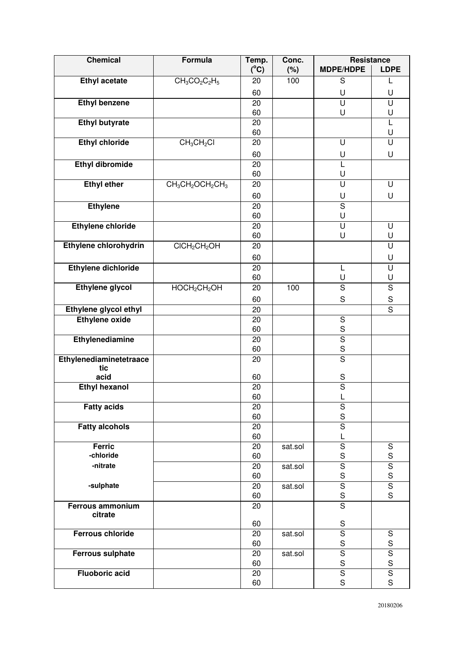| <b>Chemical</b>          | <b>Formula</b>                       | Temp.         | Conc.   | Resistance                             |                                        |
|--------------------------|--------------------------------------|---------------|---------|----------------------------------------|----------------------------------------|
|                          |                                      | $(^{\circ}C)$ | (%)     | <b>MDPE/HDPE</b>                       | <b>LDPE</b>                            |
| <b>Ethyl acetate</b>     | $CH_3CO_2C_2H_5$                     | 20            | 100     | $\mathsf S$                            |                                        |
|                          |                                      | 60            |         | U                                      | U                                      |
| <b>Ethyl benzene</b>     |                                      | 20            |         | $\overline{\mathsf{U}}$                | $\overline{\mathsf{U}}$                |
|                          |                                      | 60            |         | U                                      | U                                      |
| <b>Ethyl butyrate</b>    |                                      | 20            |         |                                        | L                                      |
|                          |                                      | 60            |         |                                        | U                                      |
| <b>Ethyl chloride</b>    | CH <sub>3</sub> CH <sub>2</sub> Cl   | 20            |         | U                                      | $\overline{\mathsf{U}}$                |
|                          |                                      | 60            |         | U                                      | U                                      |
| <b>Ethyl dibromide</b>   |                                      | 20            |         | L                                      |                                        |
|                          |                                      | 60            |         | U                                      |                                        |
| <b>Ethyl ether</b>       | $CH_3CH_2OCH_2CH_3$                  | 20            |         | $\overline{\mathsf{U}}$                | U                                      |
|                          |                                      | 60            |         | U                                      | U                                      |
| <b>Ethylene</b>          |                                      | 20            |         | $\overline{\mathsf{s}}$                |                                        |
|                          |                                      | 60            |         | U                                      |                                        |
| <b>Ethylene chloride</b> |                                      | 20            |         | $\overline{\mathsf{U}}$                | U                                      |
| Ethylene chlorohydrin    | CICH <sub>2</sub> CH <sub>2</sub> OH | 60<br>20      |         | U                                      | U<br>U                                 |
|                          |                                      |               |         |                                        |                                        |
|                          |                                      | 60            |         |                                        | U                                      |
| Ethylene dichloride      |                                      | 20            |         | L                                      | U                                      |
| <b>Ethylene glycol</b>   | HOCH <sub>2</sub> CH <sub>2</sub> OH | 60<br>20      | 100     | U<br>$\overline{\mathsf{s}}$           | U<br>$\overline{S}$                    |
|                          |                                      |               |         |                                        |                                        |
|                          |                                      | 60            |         | $\mathbf S$                            | $\mathbf S$<br>$\overline{\mathsf{s}}$ |
| Ethylene glycol ethyl    |                                      | 20            |         |                                        |                                        |
| <b>Ethylene oxide</b>    |                                      | 20<br>60      |         | $\overline{\mathsf{s}}$<br>$\mathbf S$ |                                        |
| Ethylenediamine          |                                      | 20            |         | $\overline{\mathsf{s}}$                |                                        |
|                          |                                      | 60            |         | $\mathbf S$                            |                                        |
| Ethylenediaminetetraace  |                                      | 20            |         | $\overline{\mathsf{s}}$                |                                        |
| tic                      |                                      |               |         |                                        |                                        |
| acid                     |                                      | 60            |         | $\mathsf S$                            |                                        |
| <b>Ethyl hexanol</b>     |                                      | 20            |         | $\overline{\mathsf{s}}$                |                                        |
|                          |                                      | 60            |         |                                        |                                        |
| <b>Fatty acids</b>       |                                      | 20            |         | ${\mathsf S}$                          |                                        |
|                          |                                      | 60            |         | $\mathbf S$                            |                                        |
| <b>Fatty alcohols</b>    |                                      | 20            |         | $\overline{\mathsf{s}}$                |                                        |
| <b>Ferric</b>            |                                      | 60<br>20      | sat.sol | L<br>$\overline{\mathsf{s}}$           | ${\mathsf S}$                          |
| -chloride                |                                      | 60            |         | $\mathsf S$                            | $\mathsf S$                            |
| -nitrate                 |                                      | 20            | sat.sol | $\overline{\mathsf{s}}$                | $\overline{\mathsf{s}}$                |
|                          |                                      | 60            |         | $\mathbf S$                            | S                                      |
| -sulphate                |                                      | 20            | sat.sol | $\overline{s}$                         | $\overline{S}$                         |
|                          |                                      | 60            |         | $\mathsf S$                            | S                                      |
| <b>Ferrous ammonium</b>  |                                      | 20            |         | $\overline{\mathsf{s}}$                |                                        |
| citrate                  |                                      | 60            |         | ${\mathsf S}$                          |                                        |
| <b>Ferrous chloride</b>  |                                      | 20            | sat.sol | $\overline{\mathsf{s}}$                | ${\mathsf S}$                          |
|                          |                                      | 60            |         | $\mathsf S$                            | S                                      |
| <b>Ferrous sulphate</b>  |                                      | 20            | sat.sol | $\overline{S}$                         | $\overline{\mathsf{s}}$                |
|                          |                                      | 60            |         | $\mathsf S$                            | S                                      |
| <b>Fluoboric acid</b>    |                                      | 20            |         | $\overline{\mathsf{s}}$                | $\overline{\mathsf{s}}$                |
|                          |                                      | 60            |         | $\mathsf S$                            | S                                      |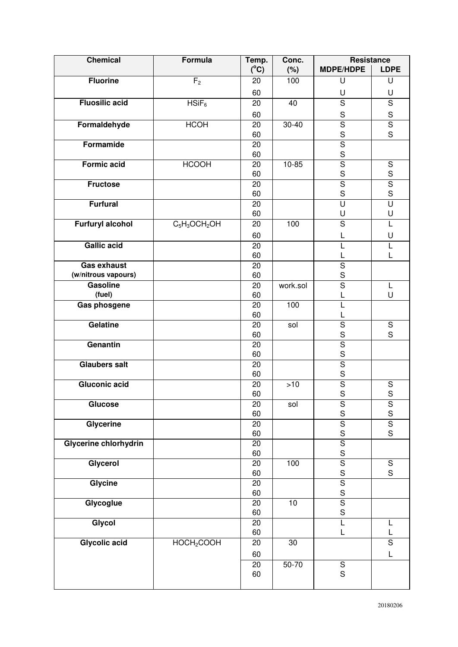| <b>Chemical</b>         | <b>Formula</b>         | Temp.         | Conc.     | <b>Resistance</b>             |                         |
|-------------------------|------------------------|---------------|-----------|-------------------------------|-------------------------|
|                         |                        | $(^{\circ}C)$ | (%)       | <b>MDPE/HDPE</b>              | <b>LDPE</b>             |
| <b>Fluorine</b>         | F <sub>2</sub>         | 20            | 100       | U                             | U                       |
|                         |                        | 60            |           | U                             | U                       |
| <b>Fluosilic acid</b>   | $HSiF_6$               | 20            | 40        | $\overline{s}$                | $\overline{\mathsf{s}}$ |
|                         |                        | 60            |           | ${\mathsf S}$                 | $\mathbf S$             |
| Formaldehyde            | <b>HCOH</b>            | 20            | $30 - 40$ | $\overline{\mathsf{s}}$       | $\overline{\mathsf{s}}$ |
|                         |                        | 60            |           | $rac{S}{S}$                   | S                       |
| Formamide               |                        | 20            |           |                               |                         |
|                         |                        | 60            |           | $\mathbf S$                   |                         |
| <b>Formic acid</b>      | <b>HCOOH</b>           | 20            | $10 - 85$ | $\overline{\mathsf{s}}$       | $\overline{S}$          |
|                         |                        | 60            |           | $\mathbf S$                   | $rac{S}{S}$             |
| <b>Fructose</b>         |                        | 20            |           | $\overline{s}$                |                         |
|                         |                        | 60            |           | S                             | $\mathsf{s}$            |
| <b>Furfural</b>         |                        | 20            |           | $\overline{\mathsf{U}}$       | $\overline{\mathsf{U}}$ |
|                         |                        | 60            |           | U                             | U                       |
| <b>Furfuryl alcohol</b> | $C_5H_3OCH_2OH$        | 20            | 100       | $\overline{s}$                | L                       |
|                         |                        | 60            |           | L                             | U                       |
| <b>Gallic acid</b>      |                        | 20            |           | L                             | L                       |
|                         |                        | 60            |           | L                             | L                       |
| <b>Gas exhaust</b>      |                        | 20            |           | $\overline{S}$                |                         |
| (w/nitrous vapours)     |                        | 60            |           | $\mathbf S$                   |                         |
| <b>Gasoline</b>         |                        | 20            | work.sol  | $\overline{\mathsf{s}}$       | L                       |
| (fuel)                  |                        | 60            |           | L                             | U                       |
| Gas phosgene            |                        | 20            | 100       | $\overline{L}$                |                         |
|                         |                        | 60            |           | L                             |                         |
| <b>Gelatine</b>         |                        | 20            | sol       | $\overline{s}$                | ${\mathsf S}$           |
|                         |                        | 60            |           | S                             | S                       |
| Genantin                |                        | 20            |           | $\overline{\mathsf{s}}$       |                         |
|                         |                        | 60            |           | S                             |                         |
| <b>Glaubers salt</b>    |                        | 20            |           | $\overline{s}$                |                         |
|                         |                        | 60            |           | $\mathbf S$                   |                         |
| <b>Gluconic acid</b>    |                        | 20            | >10       | $\overline{\mathsf{S}}$       | S                       |
|                         |                        | 60            |           | S                             | $\mathsf S$             |
| Glucose                 |                        | 20            | sol       | ${\sf S}$                     | ${\sf S}$               |
|                         |                        | 60            |           | S                             | S                       |
| Glycerine               |                        | 20            |           | $\overline{\mathsf{s}}$       | $\overline{\mathsf{s}}$ |
|                         |                        | 60            |           | $\mathbf S$                   | S                       |
| Glycerine chlorhydrin   |                        | 20            |           | $\overline{\mathsf{S}}$       |                         |
|                         |                        | 60            |           | $\mathbf S$                   |                         |
| Glycerol                |                        | 20            | 100       | $\overline{\mathsf{s}}$       | $\overline{S}$<br>S     |
|                         |                        | 60            |           | $\mathsf S$<br>$\overline{s}$ |                         |
| Glycine                 |                        | 20            |           | $\mathsf S$                   |                         |
| Glycoglue               |                        | 60<br>20      | $10$      | $\overline{\mathsf{s}}$       |                         |
|                         |                        | 60            |           | $\mathsf S$                   |                         |
| Glycol                  |                        | 20            |           | $\overline{L}$                | L                       |
|                         |                        | 60            |           | L                             | L                       |
| <b>Glycolic acid</b>    | HOCH <sub>2</sub> COOH | 20            | 30        |                               | $\overline{\mathsf{s}}$ |
|                         |                        |               |           |                               |                         |
|                         |                        | 60            |           |                               | Г                       |
|                         |                        | 20            | $50 - 70$ | $\overline{S}$                |                         |
|                         |                        | 60            |           | S                             |                         |
|                         |                        |               |           |                               |                         |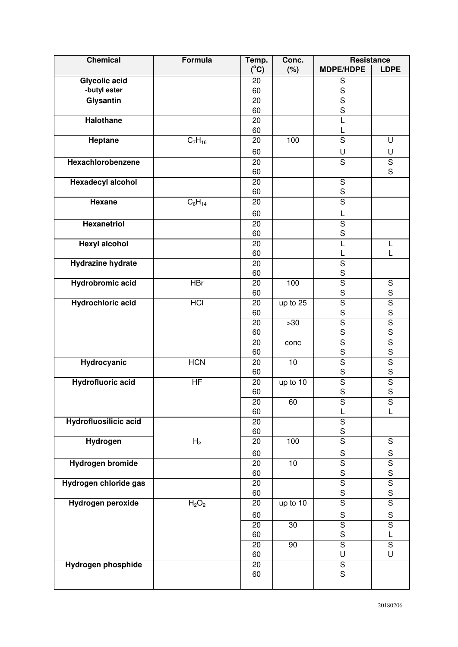| <b>Chemical</b>                      | Formula                       | Temp.           | Conc.           | Resistance                             |                                         |
|--------------------------------------|-------------------------------|-----------------|-----------------|----------------------------------------|-----------------------------------------|
|                                      |                               | $(^{\circ}C)$   | (%)             | <b>MDPE/HDPE</b>                       | <b>LDPE</b>                             |
| <b>Glycolic acid</b><br>-butyl ester |                               | 20<br>60        |                 | $\mathbf S$<br>$\mathbf S$             |                                         |
| Glysantin                            |                               | $\overline{20}$ |                 | $\overline{\mathsf{s}}$                |                                         |
|                                      |                               | 60              |                 | S                                      |                                         |
| Halothane                            |                               | 20              |                 | L                                      |                                         |
|                                      |                               | 60              |                 | L                                      |                                         |
| <b>Heptane</b>                       | $\overline{C_7}H_{16}$        | 20              | 100             | $\overline{S}$                         | U                                       |
|                                      |                               | 60              |                 | U                                      | U                                       |
| Hexachlorobenzene                    |                               | 20              |                 | S                                      | $\mathbf S$                             |
|                                      |                               | 60              |                 |                                        | S                                       |
| <b>Hexadecyl alcohol</b>             |                               | 20              |                 | $\overline{\mathsf{s}}$                |                                         |
|                                      |                               | 60              |                 | $rac{S}{S}$                            |                                         |
| Hexane                               | $C_6H_{14}$                   | 20              |                 |                                        |                                         |
|                                      |                               | 60              |                 | L                                      |                                         |
| <b>Hexanetriol</b>                   |                               | 20              |                 | $\overline{\mathsf{s}}$                |                                         |
|                                      |                               | 60              |                 | S                                      |                                         |
| <b>Hexyl alcohol</b>                 |                               | 20              |                 | L                                      |                                         |
|                                      |                               | 60              |                 | L                                      | L                                       |
| <b>Hydrazine hydrate</b>             |                               | 20              |                 | $\overline{\mathsf{s}}$<br>$\mathsf S$ |                                         |
| <b>Hydrobromic acid</b>              | <b>HBr</b>                    | 60<br>20        | 100             | $\overline{\mathsf{s}}$                | $\mathbf S$                             |
|                                      |                               | 60              |                 | $\mathbf S$                            | S                                       |
| <b>Hydrochloric acid</b>             | <b>HCI</b>                    | 20              | up to 25        | $\overline{\mathsf{s}}$                | $\overline{\mathsf{s}}$                 |
|                                      |                               | 60              |                 | $\mathbf S$                            | S                                       |
|                                      |                               | 20              | $>30$           | $\overline{\mathsf{S}}$                |                                         |
|                                      |                               | 60              |                 | S                                      | $rac{1}{s}$                             |
|                                      |                               | 20              | conc            | $\overline{\mathsf{s}}$                | $rac{1}{s}$                             |
|                                      |                               | 60              |                 | S                                      |                                         |
| <b>Hydrocyanic</b>                   | <b>HCN</b>                    | 20              | $\overline{10}$ | $\overline{\mathsf{s}}$                | $\overline{\mathsf{S}}$                 |
|                                      |                               | 60              |                 | $\mathsf S$                            | S                                       |
| <b>Hydrofluoric acid</b>             | $\overline{HF}$               | 20              | up to 10        | $\overline{\mathsf{s}}$<br>S           | $\overline{\mathsf{S}}$<br>$\mathsf{s}$ |
|                                      |                               | 60              |                 |                                        |                                         |
|                                      |                               | 20<br>60        | 60              | S<br>L                                 | S<br>L                                  |
| Hydrofluosilicic acid                |                               | 20              |                 | $\overline{\mathsf{s}}$                |                                         |
|                                      |                               | 60              |                 | $\mathsf S$                            |                                         |
| <b>Hydrogen</b>                      | H <sub>2</sub>                | 20              | 100             | $\overline{\mathsf{s}}$                | ${\mathsf S}$                           |
|                                      |                               | 60              |                 | $\mathbf S$                            | $\mathbf S$                             |
| <b>Hydrogen bromide</b>              |                               | 20              | 10              | $\overline{\mathsf{s}}$                |                                         |
|                                      |                               | 60              |                 | $\mathbf S$                            | $rac{S}{S}$                             |
| Hydrogen chloride gas                |                               | 20              |                 | $\overline{\mathsf{s}}$                | $\overline{\mathsf{s}}$                 |
|                                      |                               | 60              |                 | $\mathbf S$                            | S                                       |
| Hydrogen peroxide                    | H <sub>2</sub> O <sub>2</sub> | 20              | up to 10        | $\overline{\mathsf{s}}$                | $\overline{\mathsf{s}}$                 |
|                                      |                               | 60              |                 | $\mathsf S$                            | $\mathbf S$                             |
|                                      |                               | 20              | 30              | $\overline{\mathsf{S}}$                | $\overline{\mathsf{s}}$                 |
|                                      |                               | 60              |                 | $\mathsf S$                            | L                                       |
|                                      |                               | 20              | 90              | $\overline{S}$                         | $\overline{S}$                          |
|                                      |                               | 60              |                 | U                                      | U                                       |
| Hydrogen phosphide                   |                               | 20              |                 | $\overline{\mathsf{s}}$                |                                         |
|                                      |                               | 60              |                 | $\mathsf S$                            |                                         |
|                                      |                               |                 |                 |                                        |                                         |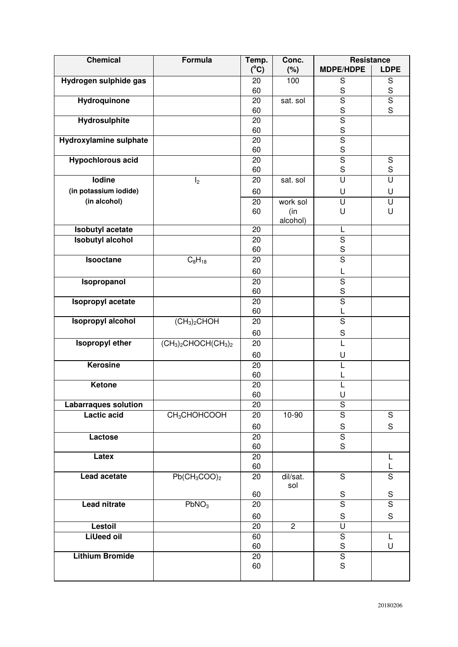| <b>Chemical</b>                                   | Formula                              | Temp.         | Conc.          | Resistance                             |                            |
|---------------------------------------------------|--------------------------------------|---------------|----------------|----------------------------------------|----------------------------|
|                                                   |                                      | $(^{\circ}C)$ | (%)            | <b>MDPE/HDPE</b>                       | <b>LDPE</b>                |
| Hydrogen sulphide gas                             |                                      | 20<br>60      | 100            | $\mathbf S$<br>$\mathbf S$             | $\mathbf S$<br>$\mathbf S$ |
| <b>Hydroquinone</b>                               |                                      | 20            | sat. sol       | $\overline{\mathsf{s}}$                | $\overline{\mathsf{s}}$    |
|                                                   |                                      | 60            |                | S                                      | S                          |
| Hydrosulphite                                     |                                      | 20<br>60      |                | $\overline{S}$<br>$\mathsf S$          |                            |
| <b>Hydroxylamine sulphate</b>                     |                                      | 20            |                | $\overline{\mathsf{S}}$                |                            |
|                                                   |                                      | 60            |                | $\mathsf S$                            |                            |
| <b>Hypochlorous acid</b>                          |                                      | 20            |                | $\overline{\mathsf{s}}$                | ${\mathsf S}$              |
|                                                   |                                      | 60            |                | S                                      | S                          |
| lodine                                            | I <sub>2</sub>                       | 20            | sat. sol       | $\overline{\mathsf{U}}$                | $\overline{\mathsf{U}}$    |
| (in potassium iodide)                             |                                      | 60            |                | U                                      | U                          |
| (in alcohol)                                      |                                      | 20            | work sol       | $\overline{\mathsf{U}}$                | U                          |
|                                                   |                                      | 60            | (in            | U                                      | U                          |
|                                                   |                                      |               | alcohol)       |                                        |                            |
| <b>Isobutyl acetate</b>                           |                                      | 20            |                | L                                      |                            |
| <b>Isobutyl alcohol</b>                           |                                      | 20            |                | $\overline{\mathsf{S}}$                |                            |
|                                                   |                                      | 60            |                | S                                      |                            |
| Isooctane                                         | $C_8H_{18}$                          | 20            |                | $\overline{\mathsf{s}}$                |                            |
|                                                   |                                      | 60            |                | L                                      |                            |
| Isopropanol                                       |                                      | 20            |                | $\overline{\mathsf{s}}$                |                            |
|                                                   |                                      | 60            |                | S                                      |                            |
| Isopropyl acetate                                 |                                      | 20            |                | $\overline{\mathsf{s}}$                |                            |
|                                                   |                                      | 60            |                | L                                      |                            |
| <b>Isopropyl alcohol</b>                          | (CH <sub>3</sub> ) <sub>2</sub> CHOH | 20            |                | $\overline{\mathsf{s}}$                |                            |
|                                                   |                                      | 60            |                | $\mathbf S$                            |                            |
| <b>Isopropyl ether</b>                            | $(CH3)2CHOCH(CH3)2$                  | 20            |                | L                                      |                            |
|                                                   |                                      | 60            |                | U                                      |                            |
| <b>Kerosine</b>                                   |                                      | 20            |                | L                                      |                            |
|                                                   |                                      | 60            |                |                                        |                            |
| Ketone                                            |                                      | 20            |                | L                                      |                            |
|                                                   |                                      | 60            |                | U                                      |                            |
| <b>Labarraques solution</b><br><b>Lactic acid</b> | CH <sub>3</sub> CHOHCOOH             | 20<br>20      | 10-90          | ${\mathsf S}$<br>$\mathsf S$           | ${\mathsf S}$              |
|                                                   |                                      |               |                |                                        |                            |
|                                                   |                                      | 60            |                | $\mathbf S$<br>$\overline{\mathsf{s}}$ | S                          |
| Lactose                                           |                                      | 20<br>60      |                | $\mathsf S$                            |                            |
| Latex                                             |                                      | 20            |                |                                        | L                          |
|                                                   |                                      | 60            |                |                                        | L                          |
| Lead acetate                                      | $Pb(CH_3COO)_2$                      | 20            | dil/sat.       | S                                      | $\overline{S}$             |
|                                                   |                                      | 60            | sol            | S                                      | S                          |
| <b>Lead nitrate</b>                               | PbNO <sub>3</sub>                    | 20            |                | $\overline{\mathsf{s}}$                | $\overline{\mathsf{s}}$    |
|                                                   |                                      | 60            |                | $\mathbf S$                            | $\mathbf S$                |
| Lestoil                                           |                                      | 20            | $\overline{2}$ | U                                      |                            |
| <b>LiUeed oil</b>                                 |                                      | 60            |                | $\overline{S}$                         | L                          |
|                                                   |                                      | 60            |                | $\mathsf S$                            | U                          |
| <b>Lithium Bromide</b>                            |                                      | 20            |                | $\overline{\mathsf{s}}$                |                            |
|                                                   |                                      | 60            |                | $\mathbf S$                            |                            |
|                                                   |                                      |               |                |                                        |                            |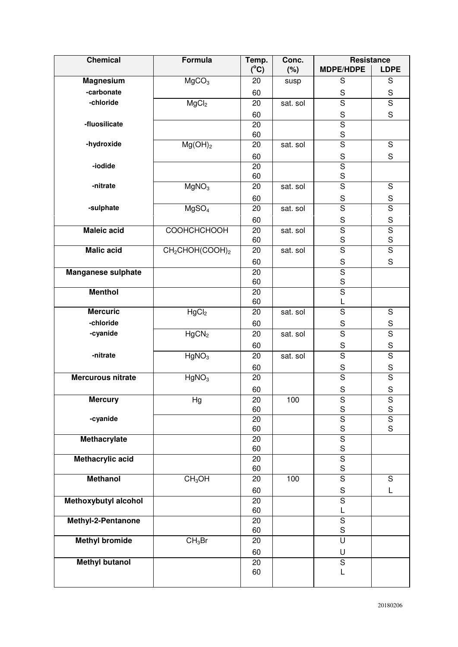| <b>Chemical</b>           | Formula                                 | Temp.           | Conc.    | Resistance                             |                                        |
|---------------------------|-----------------------------------------|-----------------|----------|----------------------------------------|----------------------------------------|
|                           |                                         | $(^{\circ}C)$   | (%)      | <b>MDPE/HDPE</b>                       | <b>LDPE</b>                            |
| <b>Magnesium</b>          | MgCO <sub>3</sub>                       | 20              | susp     | $\mathsf S$                            | S                                      |
| -carbonate                |                                         | 60              |          | $\mathsf S$                            | $\mathbf S$                            |
| -chloride                 | MgCl <sub>2</sub>                       | 20              | sat. sol | $\overline{s}$                         | $\overline{\mathsf{s}}$                |
|                           |                                         | 60              |          | $\mathbf S$                            | S                                      |
| -fluosilicate             |                                         | 20              |          | $\overline{\mathsf{s}}$                |                                        |
|                           |                                         | 60              |          | $\mathsf{s}$                           |                                        |
| -hydroxide                | $Mg(OH)_2$                              | 20              | sat. sol | $\overline{\mathsf{s}}$                | $\mathbf S$                            |
|                           |                                         | 60              |          | $\mathbf S$                            | $\mathsf S$                            |
| -iodide                   |                                         | 20              |          | $\overline{\mathsf{s}}$<br>$\mathbf S$ |                                        |
| -nitrate                  | MgNO <sub>3</sub>                       | 60<br>20        | sat. sol | $\overline{\mathsf{s}}$                | $\overline{S}$                         |
|                           |                                         |                 |          |                                        |                                        |
| -sulphate                 | MgSO <sub>4</sub>                       | 60<br>20        | sat. sol | $\mathbf S$<br>$\overline{\mathsf{s}}$ | $\mathbf S$<br>$\overline{\mathsf{s}}$ |
|                           |                                         |                 |          |                                        |                                        |
| <b>Maleic acid</b>        | СООНСНСНООН                             | 60<br>20        | sat. sol | $\mathbf S$<br>$\overline{\mathsf{s}}$ | $rac{S}{S}$                            |
|                           |                                         | 60              |          | $\mathbf S$                            | S                                      |
| <b>Malic acid</b>         | CH <sub>2</sub> CHOH(COOH) <sub>2</sub> | 20              | sat. sol | $\overline{\mathsf{s}}$                | $\overline{\mathsf{s}}$                |
|                           |                                         | 60              |          | $\mathbf S$                            | S                                      |
| <b>Manganese sulphate</b> |                                         | 20              |          | $\overline{\mathsf{s}}$                |                                        |
|                           |                                         | 60              |          | $rac{S}{S}$                            |                                        |
| <b>Menthol</b>            |                                         | 20              |          |                                        |                                        |
|                           |                                         | 60              |          | L                                      |                                        |
| <b>Mercuric</b>           | HgCl <sub>2</sub>                       | 20              | sat. sol | $\overline{S}$                         | $\mathbf S$                            |
| -chloride                 |                                         | 60              |          | $\mathsf S$                            | $\mathsf S$                            |
| -cyanide                  | HgCN <sub>2</sub>                       | 20              | sat. sol | $\overline{\mathsf{s}}$                | $\overline{\mathsf{s}}$                |
|                           |                                         | 60              |          | ${\mathsf S}$                          | $\mathbf S$                            |
| -nitrate                  | HgNO <sub>3</sub>                       | 20              | sat. sol | $\overline{\mathsf{s}}$                | $\overline{\mathsf{s}}$                |
|                           |                                         | 60              |          | $\mathbf S$                            | $\mathbf S$                            |
| <b>Mercurous nitrate</b>  | HgNO <sub>3</sub>                       | 20              |          | $\overline{\mathsf{s}}$                | $\overline{\mathsf{s}}$                |
|                           |                                         | 60              |          | $\mathbf S$                            | $\mathbf S$                            |
| <b>Mercury</b>            | Hg                                      | $\overline{20}$ | 100      | $\overline{\mathsf{s}}$<br>$\mathsf S$ | $\overline{\mathsf{s}}$                |
| -cyanide                  |                                         | 60<br>20        |          | $\overline{\mathsf{s}}$                | $\mathbf S$<br>$\overline{\mathsf{s}}$ |
|                           |                                         | 60              |          | $\mathbf S$                            | S                                      |
| <b>Methacrylate</b>       |                                         | 20              |          | $\overline{\mathsf{s}}$                |                                        |
|                           |                                         | 60              |          | $\mathbf S$                            |                                        |
| <b>Methacrylic acid</b>   |                                         | 20              |          | $\overline{\mathsf{S}}$                |                                        |
|                           |                                         | 60              |          | $\mathbf S$                            |                                        |
| <b>Methanol</b>           | CH <sub>3</sub> OH                      | 20              | 100      | $\overline{\mathsf{s}}$                | $\mathsf S$                            |
|                           |                                         | 60              |          | ${\mathsf S}$                          | L                                      |
| Methoxybutyl alcohol      |                                         | 20              |          | $\overline{S}$                         |                                        |
|                           |                                         | 60              |          | L                                      |                                        |
| Methyl-2-Pentanone        |                                         | 20<br>60        |          | $\overline{\mathsf{s}}$<br>$\mathbf S$ |                                        |
| <b>Methyl bromide</b>     | CH <sub>3</sub> Br                      | 20              |          | $\overline{\mathsf{U}}$                |                                        |
|                           |                                         | 60              |          | U                                      |                                        |
| <b>Methyl butanol</b>     |                                         | 20              |          | $\mathbf S$                            |                                        |
|                           |                                         | 60              |          | L                                      |                                        |
|                           |                                         |                 |          |                                        |                                        |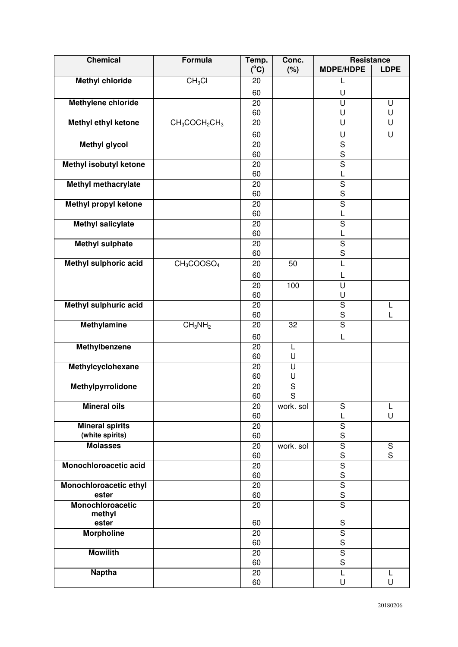| <b>Chemical</b>              | Formula                            | Temp.         | Conc.                        | Resistance                   |               |
|------------------------------|------------------------------------|---------------|------------------------------|------------------------------|---------------|
|                              |                                    | $(^{\circ}C)$ | (%)                          | <b>MDPE/HDPE</b>             | <b>LDPE</b>   |
| <b>Methyl chloride</b>       | CH <sub>3</sub> Cl                 | 20            |                              | L                            |               |
|                              |                                    | 60            |                              | U                            |               |
| <b>Methylene chloride</b>    |                                    | 20            |                              | $\overline{\mathsf{U}}$      | U             |
|                              |                                    | 60            |                              | U                            | U             |
| <b>Methyl ethyl ketone</b>   | $CH_3COCH_2CH_3$                   | 20            |                              | U                            | U             |
|                              |                                    | 60            |                              | U                            | U             |
| <b>Methyl glycol</b>         |                                    | 20            |                              | $\mathbf S$                  |               |
|                              |                                    | 60            |                              | $\mathbf S$                  |               |
| Methyl isobutyl ketone       |                                    | 20            |                              | $\overline{\mathsf{s}}$      |               |
|                              |                                    | 60            |                              | L                            |               |
| <b>Methyl methacrylate</b>   |                                    | 20            |                              | $\overline{\mathsf{S}}$      |               |
|                              |                                    | 60            |                              | S<br>$\overline{\mathsf{s}}$ |               |
| <b>Methyl propyl ketone</b>  |                                    | 20<br>60      |                              | L                            |               |
| <b>Methyl salicylate</b>     |                                    | 20            |                              | $\overline{\mathsf{s}}$      |               |
|                              |                                    | 60            |                              | L                            |               |
| <b>Methyl sulphate</b>       |                                    | 20            |                              | $\overline{\mathsf{s}}$      |               |
|                              |                                    | 60            |                              | S                            |               |
| Methyl sulphoric acid        | CH <sub>3</sub> COOSO <sub>4</sub> | 20            | 50                           | L                            |               |
|                              |                                    | 60            |                              | L                            |               |
|                              |                                    | 20            | 100                          | U                            |               |
|                              |                                    | 60            |                              | U                            |               |
| <b>Methyl sulphuric acid</b> |                                    | 20            |                              | $\overline{\mathsf{s}}$      | L             |
|                              |                                    | 60            |                              | S                            | L             |
| <b>Methylamine</b>           | CH <sub>3</sub> NH <sub>2</sub>    | 20            | 32                           | $\overline{S}$               |               |
|                              |                                    | 60            |                              | L                            |               |
| Methylbenzene                |                                    | 20            | L                            |                              |               |
|                              |                                    | 60            | U                            |                              |               |
| Methylcyclohexane            |                                    | 20            | U                            |                              |               |
|                              |                                    | 60            | U                            |                              |               |
| Methylpyrrolidone            |                                    | 20            | $\overline{\mathsf{s}}$<br>S |                              |               |
| <b>Mineral oils</b>          |                                    | 60<br>20      | work. sol                    | S                            | L             |
|                              |                                    | 60            |                              | L                            | U             |
| <b>Mineral spirits</b>       |                                    | 20            |                              | $\overline{\mathsf{s}}$      |               |
| (white spirits)              |                                    | 60            |                              | $\mathbf S$                  |               |
| <b>Molasses</b>              |                                    | 20            | work. sol                    | $\overline{\mathsf{s}}$      | ${\mathsf S}$ |
|                              |                                    | 60            |                              | $\mathbf S$                  | S             |
| Monochloroacetic acid        |                                    | 20            |                              | $\overline{\mathsf{s}}$      |               |
|                              |                                    | 60            |                              | $\mathbf S$                  |               |
| Monochloroacetic ethyl       |                                    | 20            |                              | $\overline{\mathsf{s}}$      |               |
| ester                        |                                    | 60            |                              | $\mathbf S$                  |               |
| Monochloroacetic             |                                    | 20            |                              | $\overline{S}$               |               |
| methyl<br>ester              |                                    | 60            |                              | ${\mathsf S}$                |               |
| <b>Morpholine</b>            |                                    | 20            |                              | $\mathbf S$                  |               |
|                              |                                    | 60            |                              | $\mathbf S$                  |               |
| <b>Mowilith</b>              |                                    | 20            |                              | $\overline{\mathsf{s}}$      |               |
|                              |                                    | 60            |                              | $\mathsf S$                  |               |
| <b>Naptha</b>                |                                    | 20            |                              | L                            | L             |
|                              |                                    | 60            |                              | U                            | U             |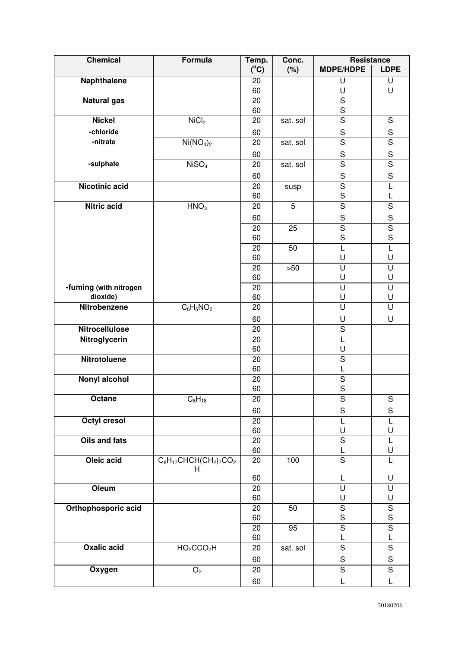| <b>Chemical</b>        | Formula                            | Temp.           | Conc.           | Resistance                   |                         |
|------------------------|------------------------------------|-----------------|-----------------|------------------------------|-------------------------|
|                        |                                    | $(^{\circ}C)$   | (%)             | <b>MDPE/HDPE</b>             | <b>LDPE</b>             |
| <b>Naphthalene</b>     |                                    | 20              |                 | U                            | U                       |
|                        |                                    | 60              |                 | U                            | U                       |
| <b>Natural gas</b>     |                                    | $\overline{20}$ |                 | $\overline{\mathsf{s}}$      |                         |
|                        |                                    | 60              |                 | $\mathbf S$                  |                         |
| <b>Nickel</b>          | NiCl <sub>2</sub>                  | 20              | sat. sol        | $\overline{\mathsf{s}}$      | ${\mathsf S}$           |
| -chloride              |                                    | 60              |                 | $\mathbf S$                  | $rac{S}{S}$             |
| -nitrate               | Ni(NO <sub>3</sub> ) <sub>2</sub>  | 20              | sat. sol        | $\overline{\mathsf{s}}$      |                         |
|                        |                                    | 60              |                 | $\mathbf S$                  | $\mathbf S$             |
| -sulphate              | NISO <sub>4</sub>                  | 20              | sat. sol        | $\overline{\mathsf{s}}$      | $\overline{\mathsf{s}}$ |
|                        |                                    | 60              |                 | ${\mathsf S}$                | $\mathbf S$             |
| <b>Nicotinic acid</b>  |                                    | 20              | susp            | $\overline{\mathsf{S}}$      | L                       |
|                        |                                    | 60              |                 | $\mathsf S$                  | L                       |
| <b>Nitric acid</b>     | HNO <sub>3</sub>                   | 20              | $\overline{5}$  | $\overline{\mathsf{s}}$      | $\overline{\mathsf{s}}$ |
|                        |                                    | 60              |                 | ${\mathsf S}$                | $\mathbf S$             |
|                        |                                    | 20              | 25              | $\overline{\mathsf{S}}$      | $\overline{\mathsf{s}}$ |
|                        |                                    | 60              |                 | $\mathbf S$                  | S                       |
|                        |                                    | 20              | 50              | $\overline{L}$               | τ                       |
|                        |                                    | 60              |                 | U                            | U                       |
|                        |                                    | 20              | $>50$           | U                            | $\overline{\mathsf{U}}$ |
|                        |                                    | 60              |                 | U                            | U                       |
| -fuming (with nitrogen |                                    | 20              |                 | $\overline{\mathsf{U}}$      | U                       |
| dioxide)               |                                    | 60              |                 | U                            | U                       |
| Nitrobenzene           | $C_6H_5NO_2$                       | 20              |                 | U                            | U                       |
|                        |                                    | 60              |                 | U                            | U                       |
| <b>Nitrocellulose</b>  |                                    | 20              |                 | $\overline{S}$               |                         |
| Nitroglycerin          |                                    | 20              |                 | L                            |                         |
| <b>Nitrotoluene</b>    |                                    | 60              |                 | U                            |                         |
|                        |                                    | 20<br>60        |                 | $\overline{\mathsf{s}}$<br>L |                         |
| <b>Nonyl alcohol</b>   |                                    | 20              |                 | $\overline{\mathsf{s}}$      |                         |
|                        |                                    | 60              |                 | S                            |                         |
| Octane                 | $C_8H_{18}$                        | $\overline{20}$ |                 | $\overline{\mathsf{s}}$      | $\overline{\mathsf{S}}$ |
|                        |                                    | 60              |                 | $\mathsf S$                  | ${\mathsf S}$           |
| <b>Octyl cresol</b>    |                                    | 20              |                 | L                            | $\overline{L}$          |
|                        |                                    | 60              |                 | U                            | U                       |
| Oils and fats          |                                    | 20              |                 | $\overline{\mathsf{s}}$      | L                       |
|                        |                                    | 60              |                 | L                            | U                       |
| Oleic acid             | $C_8H_{17}CHCH(CH_2)_7CO_2$        | 20              | 100             | $\overline{S}$               | L                       |
|                        | H                                  |                 |                 |                              |                         |
|                        |                                    | 60              |                 | L                            | U                       |
| Oleum                  |                                    | 20<br>60        |                 | U<br>U                       | U<br>U                  |
| Orthophosporic acid    |                                    | 20              | 50              | $\overline{S}$               | $\overline{\mathsf{s}}$ |
|                        |                                    | 60              |                 | ${\mathsf S}$                | $\mathbf S$             |
|                        |                                    | 20              | $\overline{95}$ | $\overline{\mathsf{s}}$      | $\overline{\mathsf{s}}$ |
|                        |                                    | 60              |                 | L                            | L                       |
| <b>Oxalic acid</b>     | HO <sub>2</sub> CCO <sub>2</sub> H | 20              | sat. sol        | $\overline{\mathsf{s}}$      | $\overline{\mathsf{s}}$ |
|                        |                                    | 60              |                 | ${\mathsf S}$                | ${\mathsf S}$           |
| Oxygen                 | $\rm O_2$                          | 20              |                 | $\overline{S}$               | $\overline{S}$          |
|                        |                                    | 60              |                 | L                            | L                       |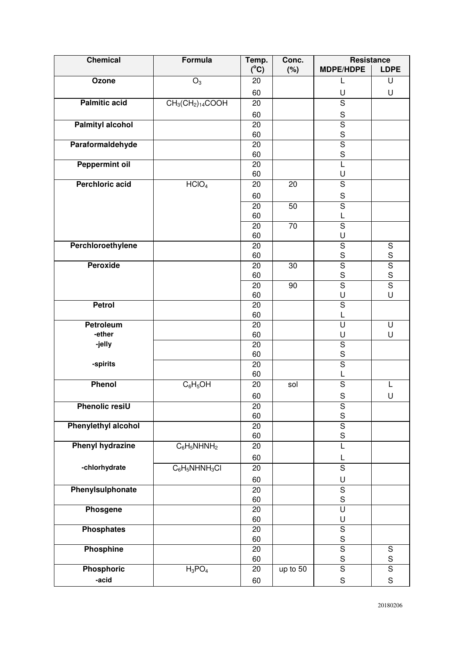| <b>Chemical</b>            | Formula           | Temp.           | Conc.    | Resistance                             |                              |
|----------------------------|-------------------|-----------------|----------|----------------------------------------|------------------------------|
|                            |                   | $(^{\circ}C)$   | (%)      | <b>MDPE/HDPE</b>                       | <b>LDPE</b>                  |
| Ozone                      | $O_3$             | 20              |          | L                                      | U                            |
|                            |                   | 60              |          | U                                      | U                            |
| <b>Palmitic acid</b>       | $CH3(CH2)14COOH$  | 20              |          | $\overline{\mathsf{s}}$                |                              |
|                            |                   | 60              |          | $\mathbb S$                            |                              |
| <b>Palmityl alcohol</b>    |                   | 20              |          | $\overline{\mathsf{s}}$                |                              |
|                            |                   | 60              |          | $rac{S}{S}$                            |                              |
| Paraformaldehyde           |                   | 20              |          |                                        |                              |
|                            |                   | 60              |          | $\mathsf S$                            |                              |
| <b>Peppermint oil</b>      |                   | 20              |          | L                                      |                              |
|                            |                   | 60              |          | U                                      |                              |
| <b>Perchloric acid</b>     | HCIO <sub>4</sub> | 20              | 20       | $\overline{\mathsf{s}}$                |                              |
|                            |                   | 60              |          | $\mathbf S$                            |                              |
|                            |                   | 20              | 50       | $\overline{\mathsf{s}}$                |                              |
|                            |                   | 60              |          | L                                      |                              |
|                            |                   | $\overline{20}$ | 70       | $\overline{\mathsf{s}}$                |                              |
|                            |                   | 60              |          | U                                      |                              |
| Perchloroethylene          |                   | 20<br>60        |          | $\overline{\mathsf{s}}$<br>$\mathbf S$ | ${\mathsf S}$<br>$\mathbf S$ |
| <b>Peroxide</b>            |                   | 20              | 30       | $\overline{\mathsf{s}}$                |                              |
|                            |                   | 60              |          | $\mathbf S$                            | $rac{1}{s}$                  |
|                            |                   | 20              | 90       | $\overline{\mathsf{s}}$                | $\overline{\mathsf{s}}$      |
|                            |                   | 60              |          | U                                      | U                            |
| <b>Petrol</b>              |                   | 20              |          | $\overline{\mathsf{s}}$                |                              |
|                            |                   | 60              |          | L                                      |                              |
| Petroleum                  |                   | 20              |          | $\overline{\mathsf{U}}$                | U                            |
| -ether                     |                   | 60              |          | U                                      | U                            |
| -jelly                     |                   | 20              |          | $\overline{\mathsf{s}}$                |                              |
|                            |                   | 60              |          | $\mathbf S$                            |                              |
| -spirits                   |                   | 20              |          | $\overline{\mathsf{s}}$                |                              |
|                            |                   | 60              |          | L                                      |                              |
| Phenol                     | $C_6H_5OH$        | 20              | sol      | $\overline{\mathsf{s}}$                |                              |
|                            |                   | 60              |          | $\mathbf S$                            | U                            |
| <b>Phenolic resiU</b>      |                   | 20              |          | $\mathbf S$                            |                              |
|                            |                   | 60              |          | $\mathbf S$                            |                              |
| <b>Phenylethyl alcohol</b> |                   | 20              |          | $\overline{\mathsf{s}}$                |                              |
| <b>Phenyl hydrazine</b>    | $C_6H_5NHNH_2$    | 60<br>20        |          | $\mathbf S$<br>L                       |                              |
|                            |                   |                 |          |                                        |                              |
| -chlorhydrate              |                   | 60              |          | L                                      |                              |
|                            | $C_6H_5NHNH_3Cl$  | 20              |          | $\overline{S}$                         |                              |
|                            |                   | 60              |          | U                                      |                              |
| Phenylsulphonate           |                   | 20              |          | $\mathbf S$                            |                              |
|                            |                   | 60              |          | $\mathsf S$                            |                              |
| Phosgene                   |                   | 20<br>60        |          | $\overline{\mathsf{U}}$<br>U           |                              |
| <b>Phosphates</b>          |                   | 20              |          | $\overline{\mathsf{S}}$                |                              |
|                            |                   | 60              |          | $\mathsf S$                            |                              |
| <b>Phosphine</b>           |                   | 20              |          | $\overline{\mathsf{s}}$                | ${\mathsf S}$                |
|                            |                   | 60              |          | $\mathbf S$                            | $\mathbf S$                  |
| <b>Phosphoric</b>          | $H_3PO_4$         | 20              | up to 50 | $\overline{\mathsf{s}}$                | $\overline{\mathsf{s}}$      |
| -acid                      |                   | 60              |          | $\mathbf S$                            | $\mathbf S$                  |
|                            |                   |                 |          |                                        |                              |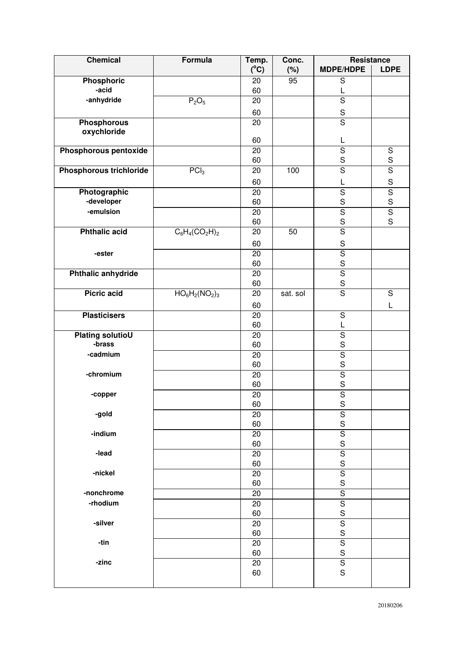| <b>Chemical</b>                   | <b>Formula</b>    | Temp.           | Conc.    | <b>Resistance</b>                      |                         |
|-----------------------------------|-------------------|-----------------|----------|----------------------------------------|-------------------------|
|                                   |                   | $(^{\circ}C)$   | (%)      | <b>MDPE/HDPE</b>                       | <b>LDPE</b>             |
| <b>Phosphoric</b>                 |                   | 20              | 95       | S                                      |                         |
| -acid                             |                   | 60              |          | L                                      |                         |
| -anhydride                        | $P_2O_5$          | 20              |          | $\overline{\mathsf{s}}$                |                         |
|                                   |                   | 60              |          | ${\sf S}$                              |                         |
| <b>Phosphorous</b>                |                   | 20              |          | $\overline{\mathsf{s}}$                |                         |
| oxychloride                       |                   | 60              |          | L                                      |                         |
| Phosphorous pentoxide             |                   | 20              |          | $\overline{\mathsf{s}}$                | $\mathbf S$             |
|                                   |                   | 60              |          | $\mathbf S$                            | S                       |
| Phosphorous trichloride           | PCI <sub>3</sub>  | 20              | 100      | $\overline{\mathsf{s}}$                | $\overline{\mathsf{s}}$ |
|                                   |                   | 60              |          | L                                      | $\mathbf S$             |
| Photographic                      |                   | 20              |          | $\overline{\mathsf{S}}$                | $\overline{\mathsf{s}}$ |
| -developer                        |                   | 60              |          | $\mathbf S$                            | S                       |
| -emulsion                         |                   | 20              |          | $\overline{\mathsf{S}}$                | $\overline{\mathsf{s}}$ |
|                                   |                   | 60              |          | $\mathsf S$                            | S                       |
| <b>Phthalic acid</b>              | $C_6H_4(CO_2H)_2$ | 20              | 50       | $\overline{\mathsf{s}}$                |                         |
|                                   |                   | 60              |          | $\mathsf S$                            |                         |
| -ester                            |                   | 20              |          | $\overline{\mathsf{S}}$                |                         |
|                                   |                   | 60              |          | $rac{S}{S}$                            |                         |
| Phthalic anhydride                |                   | 20              |          |                                        |                         |
|                                   |                   | 60              |          | $\mathbf S$                            |                         |
| <b>Picric acid</b>                | $HO_6H_2(NO_2)_3$ | 20              | sat. sol | $\overline{\mathsf{s}}$                | $\overline{\mathsf{s}}$ |
|                                   |                   | 60              |          |                                        | L                       |
| <b>Plasticisers</b>               |                   | $\overline{20}$ |          | $\overline{\mathsf{s}}$                |                         |
|                                   |                   | 60              |          | L                                      |                         |
| <b>Plating solutioU</b><br>-brass |                   | 20<br>60        |          | $\overline{\mathsf{s}}$<br>$\mathbf S$ |                         |
| -cadmium                          |                   | 20              |          | $\overline{\mathsf{S}}$                |                         |
|                                   |                   | 60              |          | S                                      |                         |
| -chromium                         |                   | 20              |          | $\overline{\mathsf{s}}$                |                         |
|                                   |                   | 60              |          | S                                      |                         |
| -copper                           |                   | 20              |          | $\overline{\mathsf{s}}$                |                         |
|                                   |                   | 60              |          | S                                      |                         |
| -gold                             |                   | 20              |          | $\overline{\mathsf{s}}$                |                         |
|                                   |                   | 60              |          | S                                      |                         |
| -indium                           |                   | 20              |          | $\overline{\mathsf{S}}$                |                         |
| -lead                             |                   | 60<br>20        |          | S<br>$\overline{\mathsf{s}}$           |                         |
|                                   |                   | 60              |          | S                                      |                         |
| -nickel                           |                   | 20              |          | $\overline{S}$                         |                         |
|                                   |                   | 60              |          | $\mathsf S$                            |                         |
| -nonchrome                        |                   | 20              |          | $\overline{\mathsf{S}}$                |                         |
| -rhodium                          |                   | 20              |          | $\overline{\mathsf{s}}$                |                         |
|                                   |                   | 60              |          | S                                      |                         |
| -silver                           |                   | 20              |          | $\overline{\mathsf{S}}$                |                         |
|                                   |                   | 60              |          | S                                      |                         |
| -tin                              |                   | 20              |          | $\overline{\mathsf{s}}$                |                         |
|                                   |                   | 60              |          | $\mathsf{s}$                           |                         |
| -zinc                             |                   | 20<br>60        |          | $\overline{\mathsf{S}}$<br>S           |                         |
|                                   |                   |                 |          |                                        |                         |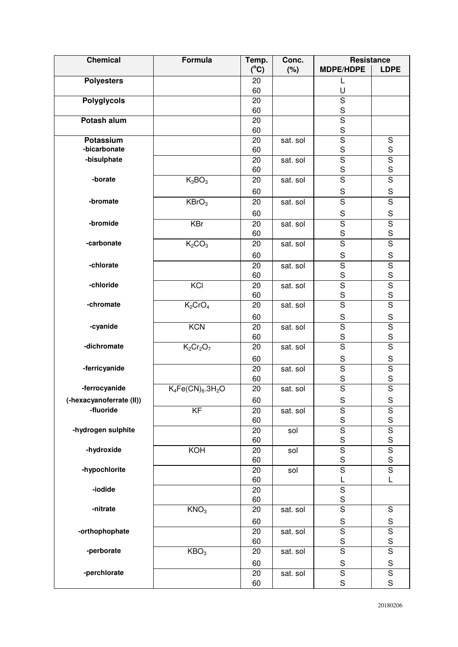| <b>Chemical</b>           | Formula                        | Temp.         | Conc.    | <b>Resistance</b>                      |                                        |
|---------------------------|--------------------------------|---------------|----------|----------------------------------------|----------------------------------------|
|                           |                                | $(^{\circ}C)$ | (%)      | <b>MDPE/HDPE</b>                       | <b>LDPE</b>                            |
| <b>Polyesters</b>         |                                | 20            |          | L                                      |                                        |
|                           |                                | 60            |          | U                                      |                                        |
| <b>Polyglycols</b>        |                                | 20            |          | $\overline{\mathsf{s}}$                |                                        |
|                           |                                | 60            |          | $\mathbf S$                            |                                        |
| Potash alum               |                                | 20            |          | $\overline{\mathsf{s}}$                |                                        |
|                           |                                | 60            |          | $\mathbf S$                            |                                        |
| Potassium<br>-bicarbonate |                                | 20            | sat. sol | $\overline{\mathsf{s}}$                | $\overline{S}$                         |
| -bisulphate               |                                | 60            |          | $\mathbf S$<br>$\overline{\mathsf{s}}$ | $\mathbf S$<br>$\overline{\mathsf{s}}$ |
|                           |                                | 20<br>60      | sat. sol | $\mathbf S$                            | S                                      |
| -borate                   | $K_3BO_3$                      | 20            | sat. sol | $\overline{S}$                         | $\overline{S}$                         |
|                           |                                |               |          |                                        |                                        |
|                           |                                | 60            |          | $\mathbf S$                            | $\mathbf S$                            |
| -bromate                  | KBrO <sub>3</sub>              | 20            | sat. sol | $\overline{\mathsf{s}}$                | $\overline{\mathsf{s}}$                |
|                           |                                | 60            |          | ${\mathsf S}$                          | $\mathbf S$                            |
| -bromide                  | <b>KBr</b>                     | 20            | sat. sol | $\overline{\mathsf{s}}$                | $\overline{\mathsf{s}}$                |
|                           |                                | 60            |          | $\mathbf S$                            | S                                      |
| -carbonate                | K <sub>2</sub> CO <sub>3</sub> | 20            | sat. sol | $\overline{\mathsf{s}}$                | $\overline{\mathsf{s}}$                |
|                           |                                | 60            |          | $\mathbf S$                            | $\mathbf S$                            |
| -chlorate                 |                                | 20            | sat. sol | $\overline{S}$                         | $\overline{S}$                         |
|                           |                                | 60            |          | $\mathbf S$                            | S                                      |
| -chloride                 | KCI                            | 20            | sat. sol | $\overline{\mathsf{s}}$                | $\overline{\mathsf{s}}$                |
| -chromate                 |                                | 60            |          | $\mathbf S$<br>$\overline{s}$          | $\mathbf S$<br>$\overline{\mathsf{s}}$ |
|                           | $K_2CrO_4$                     | 20            | sat. sol |                                        |                                        |
|                           |                                | 60            |          | $\mathbf S$                            | S                                      |
| -cyanide                  | KCN                            | 20            | sat. sol | $\overline{\mathsf{s}}$                | $\overline{\mathsf{S}}$                |
| -dichromate               |                                | 60            |          | $\mathbf S$<br>$\overline{\mathsf{s}}$ | S                                      |
|                           | $K_2Cr_2O_7$                   | 20            | sat. sol |                                        | $\overline{\mathsf{s}}$                |
|                           |                                | 60            |          | $\mathbf S$                            | $\mathbf S$                            |
| -ferricyanide             |                                | 20            | sat. sol | $\overline{\mathsf{s}}$                | $\overline{\mathsf{s}}$                |
|                           |                                | 60            |          | $\mathsf S$<br>$\overline{\mathsf{s}}$ | S<br>$\overline{\mathsf{s}}$           |
| -ferrocyanide             | $K_4Fe(CN)_6.3H_2O$            | 20            | sat. sol |                                        |                                        |
| (-hexacyanoferrate (II))  |                                | 60            |          | ${\sf S}$                              | $\mathbf S$                            |
| -fluoride                 | $\overline{KF}$                | 20            | sat. sol | $\overline{\mathsf{S}}$                | $rac{S}{S}$                            |
|                           |                                | 60            |          | $\mathsf S$                            |                                        |
| -hydrogen sulphite        |                                | 20<br>60      | sol      | $\overline{\mathsf{S}}$<br>$\mathbf S$ | $rac{S}{S}$                            |
| -hydroxide                | KOH                            | 20            | sol      | $\overline{\mathsf{s}}$                | $\overline{\mathsf{S}}$                |
|                           |                                | 60            |          | $\mathbf S$                            | $\mathbf S$                            |
| -hypochlorite             |                                | 20            | sol      | $\overline{\mathsf{s}}$                | $\overline{\mathsf{s}}$                |
|                           |                                | 60            |          | L                                      | L                                      |
| -iodide                   |                                | 20            |          | ${\mathsf S}$                          |                                        |
|                           |                                | 60            |          | $\mathbf S$                            |                                        |
| -nitrate                  | KNO <sub>3</sub>               | 20            | sat. sol | $\overline{\mathsf{s}}$                | $\overline{S}$                         |
|                           |                                | 60            |          | S                                      | $\mathbf S$                            |
| -orthophophate            |                                | 20            | sat. sol | $\overline{\mathsf{s}}$                | $\overline{\mathsf{S}}$                |
|                           |                                | 60            |          | ${\mathsf S}$                          | S                                      |
| -perborate                | KBO <sub>3</sub>               | 20            | sat. sol | $\overline{S}$                         | $\overline{S}$                         |
|                           |                                | 60            |          | ${\sf S}$                              | $\mathbf S$                            |
| -perchlorate              |                                | 20            | sat. sol | $\overline{S}$                         | $\overline{\mathsf{s}}$                |
|                           |                                | 60            |          | $\mathbf S$                            | S                                      |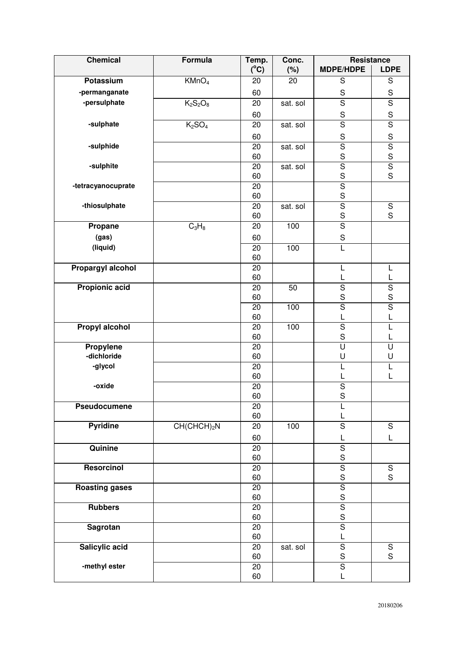| <b>Chemical</b>       | Formula                        | Temp.         | Conc.    | Resistance              |                              |
|-----------------------|--------------------------------|---------------|----------|-------------------------|------------------------------|
|                       |                                | $(^{\circ}C)$ | $(\%)$   | <b>MDPE/HDPE</b>        | <b>LDPE</b>                  |
| Potassium             | KMnO <sub>4</sub>              | 20            | 20       | ${\mathsf S}$           | ${\mathsf S}$                |
| -permanganate         |                                | 60            |          | ${\mathsf S}$           | ${\mathsf S}$                |
| -persulphate          | $K_2S_2O_8$                    | 20            | sat. sol | $\overline{s}$          | $\overline{\mathsf{s}}$      |
|                       |                                | 60            |          | $\mathbf S$             | $\mathbf S$                  |
| -sulphate             | K <sub>2</sub> SO <sub>4</sub> | 20            | sat. sol | $\overline{S}$          | $\overline{\mathsf{s}}$      |
|                       |                                | 60            |          | $\mathbf S$             | $\mathbf S$                  |
| -sulphide             |                                | 20            | sat. sol | $\overline{\mathsf{s}}$ | $\overline{\mathsf{s}}$      |
|                       |                                | 60            |          | $\mathbf S$             | $\mathbf S$                  |
| -sulphite             |                                | 20            | sat. sol | $\overline{\mathsf{s}}$ | $\overline{\mathsf{s}}$      |
|                       |                                | 60            |          | $\mathbf S$             | S                            |
| -tetracyanocuprate    |                                | 20            |          | $\overline{\mathsf{S}}$ |                              |
|                       |                                | 60            |          | $\mathbf S$             |                              |
| -thiosulphate         |                                | 20            | sat. sol | $\overline{\mathsf{s}}$ | $\overline{\mathsf{s}}$      |
|                       |                                | 60            |          | $\mathbf S$             | S                            |
| Propane               | $C_3H_8$                       | 20            | 100      | $\overline{\mathsf{s}}$ |                              |
| (gas)                 |                                | 60            |          | $\mathbf S$             |                              |
| (liquid)              |                                | 20            | 100      | $\overline{L}$          |                              |
|                       |                                | 60            |          |                         |                              |
| Propargyl alcohol     |                                | 20            |          | L                       | L                            |
| <b>Propionic acid</b> |                                | 60<br>20      | 50       | L<br>$\overline{S}$     | L<br>$\overline{\mathsf{s}}$ |
|                       |                                | 60            |          | $\mathsf S$             | S                            |
|                       |                                | 20            | 100      | $\overline{\mathsf{s}}$ | $\overline{\mathsf{s}}$      |
|                       |                                | 60            |          | L                       | L                            |
| Propyl alcohol        |                                | 20            | 100      | $\overline{S}$          | L                            |
|                       |                                | 60            |          | $\mathbf S$             | L                            |
| Propylene             |                                | 20            |          | $\overline{\mathsf{U}}$ | U                            |
| -dichloride           |                                | 60            |          | U                       | U                            |
| -glycol               |                                | 20            |          | L                       | L                            |
|                       |                                | 60            |          |                         | L                            |
| -oxide                |                                | 20            |          | $\overline{\mathsf{s}}$ |                              |
|                       |                                | 60            |          | $\mathsf S$             |                              |
| Pseudocumene          |                                | 20<br>60      |          | L                       |                              |
| <b>Pyridine</b>       | $CH(CHCH)_2N$                  | 20            | 100      | L<br>$\overline{S}$     | $\mathbf S$                  |
|                       |                                |               |          |                         |                              |
| Quinine               |                                | 60            |          | L<br>$\overline{S}$     | L                            |
|                       |                                | 20<br>60      |          | $\mathsf S$             |                              |
| Resorcinol            |                                | 20            |          | $\overline{\mathsf{s}}$ | $\overline{S}$               |
|                       |                                | 60            |          | $\mathbf S$             | S                            |
| <b>Roasting gases</b> |                                | 20            |          | $\overline{\mathsf{s}}$ |                              |
|                       |                                | 60            |          | $\mathsf S$             |                              |
| <b>Rubbers</b>        |                                | 20            |          | $\overline{S}$          |                              |
|                       |                                | 60            |          | $\mathsf S$             |                              |
| <b>Sagrotan</b>       |                                | 20            |          | $\overline{\mathsf{s}}$ |                              |
|                       |                                | 60            |          | Г                       |                              |
| Salicylic acid        |                                | 20            | sat. sol | $\overline{S}$          | ${\mathsf S}$                |
|                       |                                | 60            |          | $\mathbf S$             | S                            |
| -methyl ester         |                                | 20            |          | $\overline{\mathsf{s}}$ |                              |
|                       |                                | 60            |          | L                       |                              |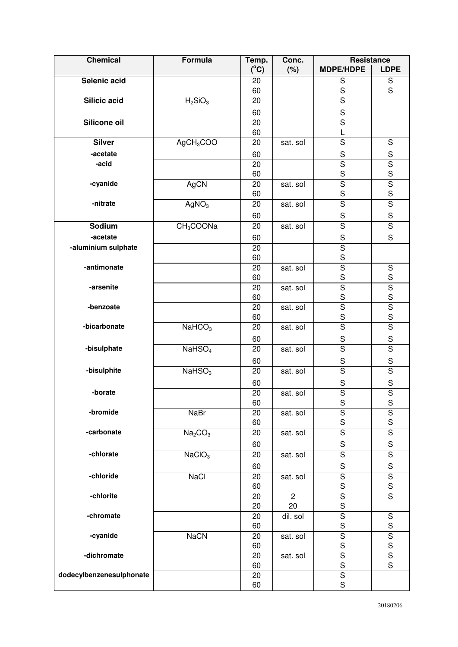| <b>Chemical</b>          | Formula                         | Temp.         | Conc.          | <b>Resistance</b>                      |                                        |
|--------------------------|---------------------------------|---------------|----------------|----------------------------------------|----------------------------------------|
|                          |                                 | $(^{\circ}C)$ | (%)            | <b>MDPE/HDPE</b>                       | <b>LDPE</b>                            |
| Selenic acid             |                                 | 20            |                | ${\mathsf S}$                          | ${\mathsf S}$<br>S                     |
| Silicic acid             | H <sub>2</sub> SiO <sub>3</sub> | 60<br>20      |                | S<br>$\overline{s}$                    |                                        |
|                          |                                 |               |                |                                        |                                        |
| Silicone oil             |                                 | 60<br>20      |                | $\mathbf S$<br>$\overline{\mathsf{s}}$ |                                        |
|                          |                                 | 60            |                | L                                      |                                        |
| <b>Silver</b>            | $AgCH_3COO$                     | 20            | sat. sol       | $\overline{\mathsf{s}}$                | $\overline{S}$                         |
| -acetate                 |                                 | 60            |                | $\mathbf S$                            | $\mathbf S$                            |
| -acid                    |                                 | 20            |                | $\overline{\mathsf{s}}$                | $\overline{\mathsf{s}}$                |
|                          |                                 | 60            |                | $\mathbf S$                            | S                                      |
| -cyanide                 | <b>AgCN</b>                     | 20            | sat. sol       | $\overline{\mathsf{s}}$                | $\overline{\mathsf{s}}$                |
|                          |                                 | 60            |                | $\mathbf S$                            | S                                      |
| -nitrate                 | AgNO <sub>3</sub>               | 20            | sat. sol       | $\overline{S}$                         | $\overline{\mathsf{s}}$                |
|                          |                                 | 60            |                | $\mathbf S$                            | $\mathbf S$                            |
| Sodium                   | CH <sub>3</sub> COONa           | 20            | sat. sol       | $\overline{\mathsf{s}}$                | $\overline{\mathsf{s}}$                |
| -acetate                 |                                 | 60            |                | $\mathbf S$                            | $\mathsf S$                            |
| -aluminium sulphate      |                                 | 20            |                | $\overline{\mathsf{s}}$                |                                        |
|                          |                                 | 60            |                | $\mathbf S$                            |                                        |
| -antimonate              |                                 | 20            | sat. sol       | $\overline{\mathsf{s}}$                | $\mathbf S$                            |
|                          |                                 | 60            |                | $\mathbf S$                            | S                                      |
| -arsenite                |                                 | 20            | sat. sol       | $\overline{\mathsf{S}}$                | $\overline{\mathsf{S}}$                |
|                          |                                 | 60            |                | $\mathbf S$                            | S                                      |
| -benzoate                |                                 | 20            | sat. sol       | $\overline{\mathsf{s}}$                | $\overline{\mathsf{S}}$                |
|                          |                                 | 60            |                | $\mathbf S$                            | S                                      |
| -bicarbonate             | NaHCO <sub>3</sub>              | 20            | sat. sol       | $\overline{s}$                         | $\overline{\mathsf{s}}$                |
|                          |                                 | 60            |                | $\mathbf S$                            | $\mathbf S$                            |
| -bisulphate              | NaHSO <sub>4</sub>              | 20            | sat. sol       | $\overline{S}$                         | $\overline{S}$                         |
|                          |                                 | 60            |                | $\mathbf S$                            | $\mathbf S$                            |
| -bisulphite              | NaHSO <sub>3</sub>              | 20            | sat. sol       | $\overline{\mathsf{s}}$                | $\overline{\mathsf{s}}$                |
|                          |                                 | 60            |                | $\mathbf S$                            | $\mathbf S$                            |
| -borate                  |                                 | 20            | sat. sol       | $\overline{\mathsf{s}}$                | $\overline{\mathsf{s}}$                |
|                          |                                 | 60            |                | ${\mathsf S}$                          | ${\sf S}$                              |
| -bromide                 | <b>NaBr</b>                     | 20<br>60      | sat. sol       | $\overline{\mathsf{s}}$<br>$\mathbf S$ | $\overline{\mathsf{S}}$<br>$\mathbf S$ |
| -carbonate               | Na <sub>2</sub> CO <sub>3</sub> | 20            | sat. sol       | $\overline{\mathsf{s}}$                | $\overline{\mathsf{s}}$                |
|                          |                                 | 60            |                | $\mathbf S$                            | $\mathbf S$                            |
| -chlorate                | NaClO <sub>3</sub>              | 20            | sat. sol       | $\overline{\mathsf{s}}$                | $\overline{\mathsf{s}}$                |
|                          |                                 |               |                |                                        |                                        |
| -chloride                | NaCl                            | 60<br>20      | sat. sol       | $\mathsf S$<br>$\overline{\mathsf{S}}$ | $\mathbf S$<br>$\overline{\mathsf{s}}$ |
|                          |                                 | 60            |                | $\mathbf S$                            | $\mathbf S$                            |
| -chlorite                |                                 | 20            | $\overline{2}$ | $\overline{\mathsf{s}}$                | $\overline{s}$                         |
|                          |                                 | 20            | 20             | $\mathsf S$                            |                                        |
| -chromate                |                                 | 20            | dil. sol       | $\overline{\mathsf{S}}$                | $\overline{S}$                         |
|                          |                                 | 60            |                | $\mathsf S$                            | $\mathbf S$                            |
| -cyanide                 | <b>NaCN</b>                     | 20            | sat. sol       | $\overline{\mathsf{s}}$                | $\overline{\mathsf{s}}$                |
|                          |                                 | 60            |                | ${\mathsf S}$                          | S                                      |
| -dichromate              |                                 | 20            | sat. sol       | $\overline{\mathsf{s}}$                | $\overline{\mathsf{S}}$                |
|                          |                                 | 60            |                | $\mathbf S$                            | S                                      |
| dodecylbenzenesulphonate |                                 | 20            |                | $\overline{\mathsf{S}}$                |                                        |
|                          |                                 | 60            |                | $\mathbf S$                            |                                        |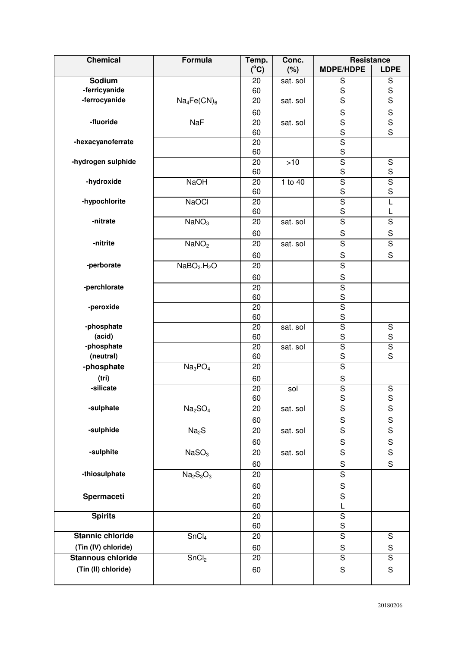| <b>Chemical</b>          | Formula                             | Temp.         | Conc.    | Resistance                   |                         |
|--------------------------|-------------------------------------|---------------|----------|------------------------------|-------------------------|
|                          |                                     | $(^{\circ}C)$ | (%)      | <b>MDPE/HDPE</b>             | <b>LDPE</b>             |
| Sodium                   |                                     | 20            | sat. sol | S                            | $\mathbf S$             |
| -ferricyanide            |                                     | 60            |          | $\mathbf S$                  | $\mathbf S$             |
| -ferrocyanide            | $Na_4Fe(CN)_6$                      | 20            | sat. sol | $\overline{\mathsf{s}}$      | $\overline{\mathsf{s}}$ |
|                          |                                     | 60            |          | $\mathbf S$                  | $\mathbf S$             |
| -fluoride                | NaF                                 | 20            | sat. sol | $\overline{\mathsf{s}}$      | $\overline{\mathsf{s}}$ |
|                          |                                     | 60            |          | S                            | S                       |
| -hexacyanoferrate        |                                     | 20            |          | $\overline{\mathsf{s}}$      |                         |
| -hydrogen sulphide       |                                     | 60            |          | S<br>$\overline{\mathsf{s}}$ |                         |
|                          |                                     | 20<br>60      | $>10$    | S                            | $\mathbf S$<br>S        |
| -hydroxide               | <b>NaOH</b>                         | 20            | 1 to 40  | $\overline{\mathsf{s}}$      | $\overline{\mathsf{S}}$ |
|                          |                                     | 60            |          | $\mathbf S$                  | S                       |
| -hypochlorite            | <b>NaOCI</b>                        | 20            |          | $\overline{\mathsf{s}}$      | L                       |
|                          |                                     | 60            |          | $\mathbf S$                  | L                       |
| -nitrate                 | NaNO <sub>3</sub>                   | 20            | sat. sol | $\overline{\mathsf{s}}$      | $\overline{\mathsf{s}}$ |
|                          |                                     | 60            |          | $\mathbf S$                  | $\mathbf S$             |
| -nitrite                 | NaNO <sub>2</sub>                   | 20            | sat. sol | $\overline{s}$               | $\overline{\mathsf{s}}$ |
|                          |                                     | 60            |          | $\mathbf S$                  | S                       |
| -perborate               | NaBO <sub>3</sub> .H <sub>2</sub> O | 20            |          | $\overline{\mathsf{s}}$      |                         |
|                          |                                     | 60            |          | $\mathbf S$                  |                         |
| -perchlorate             |                                     | 20            |          | $\overline{\mathsf{s}}$      |                         |
|                          |                                     | 60            |          | S                            |                         |
| -peroxide                |                                     | 20            |          | $\overline{\mathsf{s}}$      |                         |
|                          |                                     | 60            |          | $\mathbf S$                  |                         |
| -phosphate               |                                     | 20            | sat. sol | $\overline{\mathsf{s}}$      | $\mathbf S$             |
| (acid)                   |                                     | 60            |          | S                            | S                       |
| -phosphate               |                                     | 20            | sat. sol | $\overline{\mathsf{s}}$      | $\overline{\mathsf{s}}$ |
| (neutral)                |                                     | 60            |          | $\mathbf S$                  | S                       |
| -phosphate               | Na <sub>3</sub> PO <sub>4</sub>     | 20            |          | $\overline{\mathsf{s}}$      |                         |
| (tri)                    |                                     | 60            |          | $\mathsf S$                  |                         |
| -silicate                |                                     | 20            | sol      | $\overline{\mathsf{s}}$      | $\mathbf S$             |
|                          |                                     | 60            |          | $\mathbf S$                  | $\mathbf S$             |
| -sulphate                | Na <sub>2</sub> SO <sub>4</sub>     | 20            | sat. sol | $\mathbf S$                  | $\mathbf S$             |
|                          |                                     | 60            |          | ${\mathsf S}$                | ${\mathsf S}$           |
| -sulphide                | Na <sub>2</sub> S                   | 20            | sat. sol | $\overline{S}$               | $\overline{\mathsf{s}}$ |
|                          |                                     | 60            |          | ${\mathsf S}$                | $\mathbf S$             |
| -sulphite                | NASO <sub>3</sub>                   | 20            | sat. sol | $\overline{\mathsf{s}}$      | $\overline{\mathsf{s}}$ |
|                          |                                     | 60            |          | $\mathbf S$                  | $\mathbf S$             |
| -thiosulphate            | $Na2S3O3$                           | 20            |          | $\overline{\mathsf{S}}$      |                         |
|                          |                                     | 60            |          | $\mathbf S$                  |                         |
| Spermaceti               |                                     | 20            |          | $\overline{\mathsf{s}}$      |                         |
|                          |                                     | 60            |          | L                            |                         |
| <b>Spirits</b>           |                                     | 20            |          | $\overline{\mathsf{s}}$      |                         |
|                          |                                     | 60            |          | $\mathsf S$                  |                         |
| <b>Stannic chloride</b>  | SnCl <sub>4</sub>                   | 20            |          | $\overline{\mathsf{s}}$      | $\overline{S}$          |
| (Tin (IV) chloride)      |                                     | 60            |          | ${\mathsf S}$                | S                       |
| <b>Stannous chloride</b> | SnCl <sub>2</sub>                   | 20            |          | $\overline{\mathsf{s}}$      | $\overline{\mathsf{s}}$ |
| (Tin (II) chloride)      |                                     | 60            |          | $\mathbf S$                  | $\mathbf S$             |
|                          |                                     |               |          |                              |                         |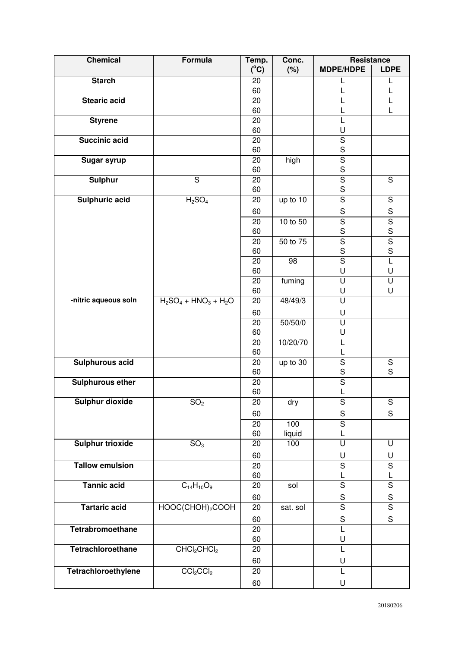| <b>Chemical</b>         | Formula                             | Temp.         | Conc.           | Resistance                   |                         |
|-------------------------|-------------------------------------|---------------|-----------------|------------------------------|-------------------------|
|                         |                                     | $(^{\circ}C)$ | (%)             | <b>MDPE/HDPE</b>             | <b>LDPE</b>             |
| <b>Starch</b>           |                                     | 20<br>60      |                 |                              |                         |
| <b>Stearic acid</b>     |                                     | 20            |                 |                              |                         |
|                         |                                     | 60            |                 |                              |                         |
| <b>Styrene</b>          |                                     | 20            |                 | L                            |                         |
|                         |                                     | 60            |                 | U                            |                         |
| <b>Succinic acid</b>    |                                     | 20            |                 | $\overline{\mathsf{s}}$      |                         |
|                         |                                     | 60            |                 | $\mathbf S$                  |                         |
| <b>Sugar syrup</b>      |                                     | 20            | high            | $\overline{\mathsf{s}}$      |                         |
| <b>Sulphur</b>          | S                                   | 60<br>20      |                 | $rac{S}{S}$                  | $\mathbf S$             |
|                         |                                     | 60            |                 | $\mathsf S$                  |                         |
| Sulphuric acid          | H <sub>2</sub> SO <sub>4</sub>      | 20            | up to 10        | $\overline{\mathsf{s}}$      | ${\mathsf S}$           |
|                         |                                     | 60            |                 | $\mathsf S$                  | $\mathbf S$             |
|                         |                                     | 20            | 10 to 50        | $\overline{\mathsf{s}}$      |                         |
|                         |                                     | 60            |                 | S                            | $rac{1}{s}$             |
|                         |                                     | 20            | 50 to 75        | $\overline{\mathsf{s}}$      | $\overline{\mathsf{S}}$ |
|                         |                                     | 60            |                 | $\mathbf S$                  | S                       |
|                         |                                     | 20            | $\overline{98}$ | $\overline{\mathsf{s}}$      | L                       |
|                         |                                     | 60            |                 | U                            | U                       |
|                         |                                     | 20            | fuming          | U                            | U<br>U                  |
| -nitric aqueous soln    | $H_2SO_4 + HNO_3 + H_2O$            | 60<br>20      | 48/49/3         | U<br>U                       |                         |
|                         |                                     |               |                 |                              |                         |
|                         |                                     | 60<br>20      | 50/50/0         | U<br>$\overline{\mathsf{U}}$ |                         |
|                         |                                     | 60            |                 | U                            |                         |
|                         |                                     | 20            | 10/20/70        | L                            |                         |
|                         |                                     | 60            |                 | L                            |                         |
| <b>Sulphurous acid</b>  |                                     | 20            | up to 30        | $\overline{\mathsf{s}}$      | $\overline{S}$          |
|                         |                                     | 60            |                 | $\mathbf S$                  | S                       |
| <b>Sulphurous ether</b> |                                     | 20            |                 | $\overline{\mathsf{S}}$      |                         |
| Sulphur dioxide         |                                     | 60<br>20      |                 |                              | S                       |
|                         | SO <sub>2</sub>                     | 60            | dry             | S<br>$\mathbf S$             | $\mathbf S$             |
|                         |                                     | 20            | 100             | $\overline{\mathsf{s}}$      |                         |
|                         |                                     | 60            | liquid          | L                            |                         |
| <b>Sulphur trioxide</b> | SO <sub>3</sub>                     | 20            | 100             | U                            | U                       |
|                         |                                     | 60            |                 | U                            | U                       |
| <b>Tallow emulsion</b>  |                                     | 20            |                 | $\overline{\mathsf{s}}$      | $\overline{\mathsf{s}}$ |
|                         |                                     | 60            |                 | L                            | L                       |
| <b>Tannic acid</b>      | $C_{14}H_{10}O_9$                   | 20            | sol             | $\overline{s}$               | $\overline{\mathsf{s}}$ |
|                         |                                     | 60            |                 | ${\mathsf S}$                | $\mathbf S$             |
| <b>Tartaric acid</b>    | HOOC(CHOH) <sub>2</sub> COOH        | 20            | sat. sol        | $\overline{\mathsf{s}}$      | $\overline{\mathsf{s}}$ |
|                         |                                     | 60            |                 | $\mathbf S$                  | $\mathbf S$             |
| Tetrabromoethane        |                                     | 20            |                 | L                            |                         |
|                         |                                     | 60            |                 | U                            |                         |
| Tetrachloroethane       | CHCl <sub>2</sub> CHCl <sub>2</sub> | 20            |                 | L                            |                         |
|                         |                                     | 60            |                 | U                            |                         |
| Tetrachloroethylene     | CCl <sub>2</sub> Cl <sub>2</sub>    | 20            |                 | L                            |                         |
|                         |                                     | 60            |                 | U                            |                         |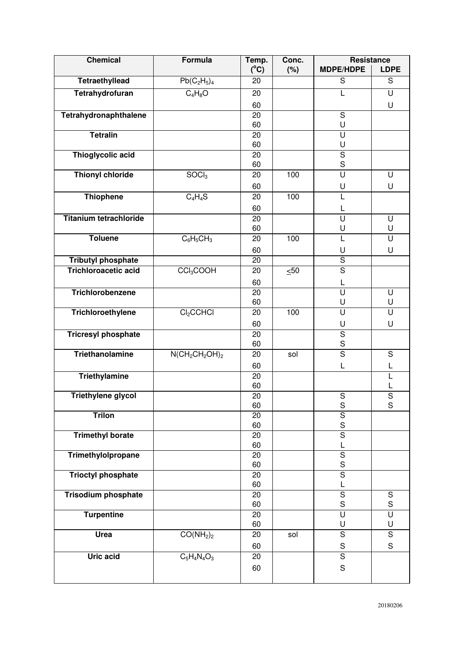| <b>Chemical</b>                                          | <b>Formula</b>                    | Temp.         | Conc.     | <b>Resistance</b>                                  |                    |
|----------------------------------------------------------|-----------------------------------|---------------|-----------|----------------------------------------------------|--------------------|
|                                                          |                                   | $(^{\circ}C)$ | (%)       | <b>MDPE/HDPE</b>                                   | <b>LDPE</b>        |
| <b>Tetraethyllead</b>                                    | $Pb(C_2H_5)_4$                    | 20            |           | $\overline{s}$                                     | S                  |
| Tetrahydrofuran                                          | $C_4H_8O$                         | 20            |           | L                                                  | U                  |
|                                                          |                                   | 60            |           |                                                    | U                  |
| Tetrahydronaphthalene                                    |                                   | 20            |           | ${\mathsf S}$                                      |                    |
|                                                          |                                   | 60            |           | U                                                  |                    |
| <b>Tetralin</b>                                          |                                   | 20<br>60      |           | U<br>U                                             |                    |
| Thioglycolic acid                                        |                                   | 20            |           | $\overline{\mathsf{s}}$                            |                    |
|                                                          |                                   | 60            |           | $\mathbf S$                                        |                    |
| <b>Thionyl chloride</b>                                  | SOCl <sub>3</sub>                 | 20            | 100       | $\overline{\mathsf{U}}$                            | U                  |
|                                                          |                                   | 60            |           | U                                                  | U                  |
| <b>Thiophene</b>                                         | $C_4H_4S$                         | 20            | 100       | L                                                  |                    |
|                                                          |                                   | 60            |           | L                                                  |                    |
| <b>Titanium tetrachloride</b>                            |                                   | 20            |           | Ū                                                  | U                  |
|                                                          |                                   | 60            |           | U                                                  | U                  |
| <b>Toluene</b>                                           | $C_6H_5CH_3$                      | 20            | 100       | L                                                  | U                  |
|                                                          |                                   | 60            |           | U                                                  | U                  |
| <b>Tributyl phosphate</b><br><b>Trichloroacetic acid</b> |                                   | 20            |           | $\overline{\mathsf{s}}$<br>$\overline{\mathsf{s}}$ |                    |
|                                                          | CCI <sub>3</sub> COOH             | 20            | $\leq 50$ |                                                    |                    |
| Trichlorobenzene                                         |                                   | 60<br>20      |           | L<br>$\overline{\mathsf{U}}$                       | U                  |
|                                                          |                                   | 60            |           | U                                                  | U                  |
| Trichloroethylene                                        | Cl <sub>2</sub> CCHCl             | 20            | 100       | U                                                  | U                  |
|                                                          |                                   | 60            |           | U                                                  | U                  |
| <b>Tricresyl phosphate</b>                               |                                   | 20            |           | $\overline{\mathsf{s}}$                            |                    |
|                                                          |                                   | 60            |           | $\mathbf S$                                        |                    |
| Triethanolamine                                          | $N(CH_2CH_2OH)_2$                 | 20            | sol       | $\overline{\mathsf{s}}$                            | S                  |
|                                                          |                                   | 60            |           | L                                                  | L                  |
| <b>Triethylamine</b>                                     |                                   | 20<br>60      |           |                                                    | L<br>L             |
| <b>Triethylene glycol</b>                                |                                   | 20            |           | $\mathsf S$                                        | $\overline{S}$     |
|                                                          |                                   | 60            |           | ${\mathsf S}$                                      | S                  |
| <b>Trilon</b>                                            |                                   | 20            |           | $\overline{\mathsf{s}}$                            |                    |
|                                                          |                                   | 60            |           | $\mathbf S$<br>$\overline{\mathsf{s}}$             |                    |
| <b>Trimethyl borate</b>                                  |                                   | 20<br>60      |           | L                                                  |                    |
| Trimethylolpropane                                       |                                   | 20            |           | $\overline{S}$                                     |                    |
|                                                          |                                   | 60            |           | $\mathsf S$                                        |                    |
| <b>Trioctyl phosphate</b>                                |                                   | 20            |           | $\overline{\mathsf{s}}$                            |                    |
|                                                          |                                   | 60            |           | L                                                  |                    |
| <b>Trisodium phosphate</b>                               |                                   | 20<br>60      |           | $\overline{s}$<br>$\mathbf S$                      | ${\mathsf S}$<br>S |
| <b>Turpentine</b>                                        |                                   | 20            |           | U                                                  | U                  |
|                                                          |                                   | 60            |           | U                                                  | U                  |
| Urea                                                     | CO(NH <sub>2</sub> ) <sub>2</sub> | 20            | sol       | $\overline{S}$                                     | $\overline{S}$     |
|                                                          |                                   | 60            |           | ${\mathsf S}$                                      | S                  |
| <b>Uric acid</b>                                         | $\overline{C_5H_4N_4O_3}$         | 20            |           | $\overline{S}$                                     |                    |
|                                                          |                                   | 60            |           | $\mathsf S$                                        |                    |
|                                                          |                                   |               |           |                                                    |                    |